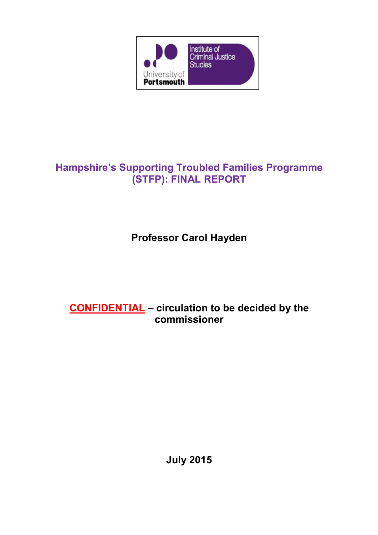

# **Hampshire's Supporting Troubled Families Programme (STFP): FINAL REPORT**

# **Professor Carol Hayden**

# **CONFIDENTIAL – circulation to be decided by the commissioner**

**July 2015**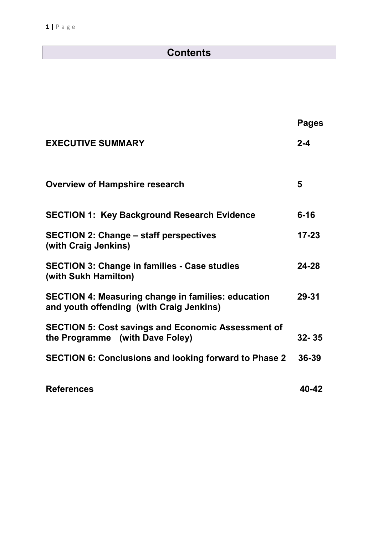# **Contents**

|                                                                                                       | <b>Pages</b> |
|-------------------------------------------------------------------------------------------------------|--------------|
| <b>EXECUTIVE SUMMARY</b>                                                                              | $2 - 4$      |
| <b>Overview of Hampshire research</b>                                                                 | 5            |
| <b>SECTION 1: Key Background Research Evidence</b>                                                    | $6 - 16$     |
| <b>SECTION 2: Change – staff perspectives</b><br>(with Craig Jenkins)                                 | $17 - 23$    |
| <b>SECTION 3: Change in families - Case studies</b><br>(with Sukh Hamilton)                           | 24-28        |
| <b>SECTION 4: Measuring change in families: education</b><br>and youth offending (with Craig Jenkins) | 29-31        |
| <b>SECTION 5: Cost savings and Economic Assessment of</b><br>the Programme (with Dave Foley)          | $32 - 35$    |
| <b>SECTION 6: Conclusions and looking forward to Phase 2</b>                                          | 36-39        |
| <b>References</b>                                                                                     | 40-42        |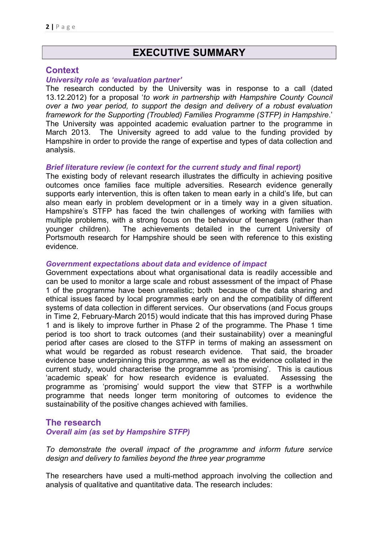# **EXECUTIVE SUMMARY**

### **Context**

#### *University role as 'evaluation partner'*

The research conducted by the University was in response to a call (dated 13.12.2012) for a proposal '*to work in partnership with Hampshire County Council over a two year period, to support the design and delivery of a robust evaluation framework for the Supporting (Troubled) Families Programme (STFP) in Hampshire*.' The University was appointed academic evaluation partner to the programme in March 2013. The University agreed to add value to the funding provided by Hampshire in order to provide the range of expertise and types of data collection and analysis.

#### *Brief literature review (ie context for the current study and final report)*

The existing body of relevant research illustrates the difficulty in achieving positive outcomes once families face multiple adversities. Research evidence generally supports early intervention, this is often taken to mean early in a child's life, but can also mean early in problem development or in a timely way in a given situation. Hampshire's STFP has faced the twin challenges of working with families with multiple problems, with a strong focus on the behaviour of teenagers (rather than younger children). The achievements detailed in the current University of Portsmouth research for Hampshire should be seen with reference to this existing evidence.

#### *Government expectations about data and evidence of impact*

Government expectations about what organisational data is readily accessible and can be used to monitor a large scale and robust assessment of the impact of Phase 1 of the programme have been unrealistic; both because of the data sharing and ethical issues faced by local programmes early on and the compatibility of different systems of data collection in different services. Our observations (and Focus groups in Time 2, February-March 2015) would indicate that this has improved during Phase 1 and is likely to improve further in Phase 2 of the programme. The Phase 1 time period is too short to track outcomes (and their sustainability) over a meaningful period after cases are closed to the STFP in terms of making an assessment on what would be regarded as robust research evidence. That said, the broader evidence base underpinning this programme, as well as the evidence collated in the current study, would characterise the programme as 'promising'. This is cautious 'academic speak' for how research evidence is evaluated. Assessing the programme as 'promising' would support the view that STFP is a worthwhile programme that needs longer term monitoring of outcomes to evidence the sustainability of the positive changes achieved with families.

### **The research**  *Overall aim (as set by Hampshire STFP)*

*To demonstrate the overall impact of the programme and inform future service design and delivery to families beyond the three year programme* 

The researchers have used a multi-method approach involving the collection and analysis of qualitative and quantitative data. The research includes: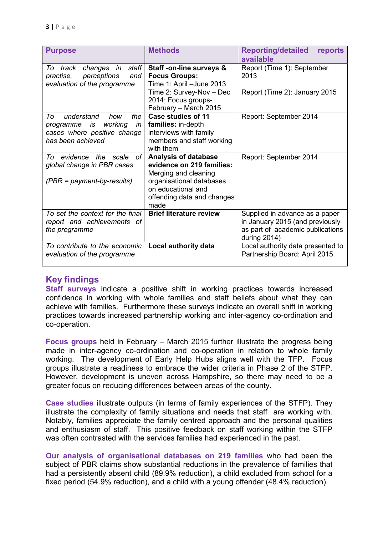| <b>Purpose</b>                                                                                                         | <b>Methods</b>                                                                                                                                                    | <b>Reporting/detailed</b><br>reports<br>available                                                                        |
|------------------------------------------------------------------------------------------------------------------------|-------------------------------------------------------------------------------------------------------------------------------------------------------------------|--------------------------------------------------------------------------------------------------------------------------|
| changes in staff<br>track<br>To<br>perceptions<br>practise,<br>and<br>evaluation of the programme                      | Staff -on-line surveys &<br><b>Focus Groups:</b><br>Time 1: April - June 2013<br>Time 2: Survey-Nov - Dec<br>2014; Focus groups-<br>February - March 2015         | Report (Time 1): September<br>2013<br>Report (Time 2): January 2015                                                      |
| understand<br>To<br>how<br>the<br>working<br>programme<br>is<br>in<br>cases where positive change<br>has been achieved | Case studies of 11<br>families: in-depth<br>interviews with family<br>members and staff working<br>with them                                                      | Report: September 2014                                                                                                   |
| To evidence the scale<br>οf<br>global change in PBR cases<br>$(PBR = payment-by-results)$                              | Analysis of database<br>evidence on 219 families:<br>Merging and cleaning<br>organisational databases<br>on educational and<br>offending data and changes<br>made | Report: September 2014                                                                                                   |
| To set the context for the final<br>report and achievements of<br>the programme                                        | <b>Brief literature review</b>                                                                                                                                    | Supplied in advance as a paper<br>in January 2015 (and previously<br>as part of academic publications<br>during $2014$ ) |
| To contribute to the economic<br>evaluation of the programme                                                           | Local authority data                                                                                                                                              | Local authority data presented to<br>Partnership Board: April 2015                                                       |

## **Key findings**

**Staff surveys** indicate a positive shift in working practices towards increased confidence in working with whole families and staff beliefs about what they can achieve with families. Furthermore these surveys indicate an overall shift in working practices towards increased partnership working and inter-agency co-ordination and co-operation.

**Focus groups** held in February – March 2015 further illustrate the progress being made in inter-agency co-ordination and co-operation in relation to whole family working. The development of Early Help Hubs aligns well with the TFP. Focus groups illustrate a readiness to embrace the wider criteria in Phase 2 of the STFP. However, development is uneven across Hampshire, so there may need to be a greater focus on reducing differences between areas of the county.

**Case studies** illustrate outputs (in terms of family experiences of the STFP). They illustrate the complexity of family situations and needs that staff are working with. Notably, families appreciate the family centred approach and the personal qualities and enthusiasm of staff. This positive feedback on staff working within the STFP was often contrasted with the services families had experienced in the past.

**Our analysis of organisational databases on 219 families** who had been the subject of PBR claims show substantial reductions in the prevalence of families that had a persistently absent child (89.9% reduction), a child excluded from school for a fixed period (54.9% reduction), and a child with a young offender (48.4% reduction).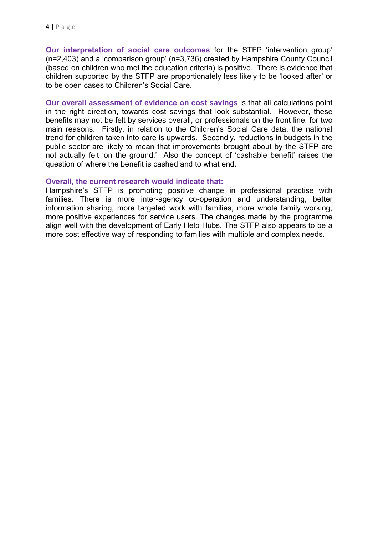**Our interpretation of social care outcomes** for the STFP 'intervention group' (n=2,403) and a 'comparison group' (n=3,736) created by Hampshire County Council (based on children who met the education criteria) is positive. There is evidence that children supported by the STFP are proportionately less likely to be 'looked after' or to be open cases to Children's Social Care.

**Our overall assessment of evidence on cost savings** is that all calculations point in the right direction, towards cost savings that look substantial. However, these benefits may not be felt by services overall, or professionals on the front line, for two main reasons. Firstly, in relation to the Children's Social Care data, the national trend for children taken into care is upwards. Secondly, reductions in budgets in the public sector are likely to mean that improvements brought about by the STFP are not actually felt 'on the ground.' Also the concept of 'cashable benefit' raises the question of where the benefit is cashed and to what end.

#### **Overall, the current research would indicate that:**

Hampshire's STFP is promoting positive change in professional practise with families. There is more inter-agency co-operation and understanding, better information sharing, more targeted work with families, more whole family working, more positive experiences for service users. The changes made by the programme align well with the development of Early Help Hubs. The STFP also appears to be a more cost effective way of responding to families with multiple and complex needs.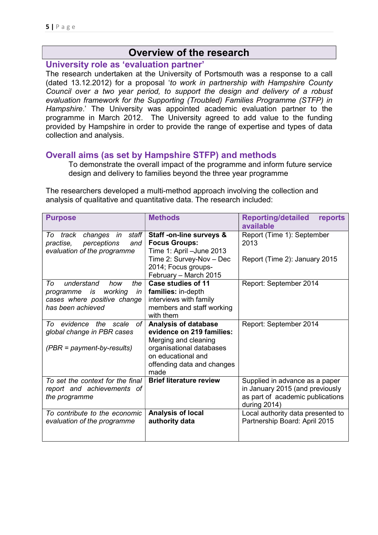## **Overview of the research**

### **University role as 'evaluation partner'**

The research undertaken at the University of Portsmouth was a response to a call (dated 13.12.2012) for a proposal '*to work in partnership with Hampshire County Council over a two year period, to support the design and delivery of a robust evaluation framework for the Supporting (Troubled) Families Programme (STFP) in Hampshire*.' The University was appointed academic evaluation partner to the programme in March 2012. The University agreed to add value to the funding provided by Hampshire in order to provide the range of expertise and types of data collection and analysis.

### **Overall aims (as set by Hampshire STFP) and methods**

To demonstrate the overall impact of the programme and inform future service design and delivery to families beyond the three year programme

The researchers developed a multi-method approach involving the collection and analysis of qualitative and quantitative data. The research included:

| <b>Purpose</b>                                                                                                      | <b>Methods</b>                                                                                                                                                           | <b>Reporting/detailed</b><br>reports<br>available                                                                     |
|---------------------------------------------------------------------------------------------------------------------|--------------------------------------------------------------------------------------------------------------------------------------------------------------------------|-----------------------------------------------------------------------------------------------------------------------|
| track changes in staff<br>To<br>perceptions<br>practise,<br>and<br>evaluation of the programme                      | Staff -on-line surveys &<br><b>Focus Groups:</b><br>Time 1: April - June 2013<br>Time 2: Survey-Nov - Dec<br>2014; Focus groups-<br>February - March 2015                | Report (Time 1): September<br>2013<br>Report (Time 2): January 2015                                                   |
| understand<br>To<br>the<br>how<br>working<br>programme is<br>in<br>cases where positive change<br>has been achieved | Case studies of 11<br>families: in-depth<br>interviews with family<br>members and staff working<br>with them                                                             | Report: September 2014                                                                                                |
| To evidence the scale<br>оf<br>global change in PBR cases<br>$(PBR = payment-by-results)$                           | <b>Analysis of database</b><br>evidence on 219 families:<br>Merging and cleaning<br>organisational databases<br>on educational and<br>offending data and changes<br>made | Report: September 2014                                                                                                |
| To set the context for the final<br>report and achievements of<br>the programme                                     | <b>Brief literature review</b>                                                                                                                                           | Supplied in advance as a paper<br>in January 2015 (and previously<br>as part of academic publications<br>during 2014) |
| To contribute to the economic<br>evaluation of the programme                                                        | Analysis of local<br>authority data                                                                                                                                      | Local authority data presented to<br>Partnership Board: April 2015                                                    |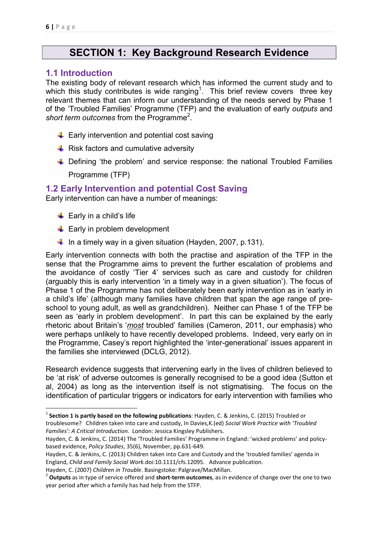# **SECTION 1: Key Background Research Evidence**

### **1.1 Introduction**

The existing body of relevant research which has informed the current study and to which this study contributes is wide ranging<sup>1</sup>. This brief review covers three key relevant themes that can inform our understanding of the needs served by Phase 1 of the 'Troubled Families' Programme (TFP) and the evaluation of early *outputs* and short term outcomes from the Programme<sup>2</sup>.

- $\leftarrow$  Early intervention and potential cost saving
- $\triangleq$  Risk factors and cumulative adversity
- ↓ Defining 'the problem' and service response: the national Troubled Families Programme (TFP)

## **1.2 Early Intervention and potential Cost Saving**

Early intervention can have a number of meanings:

- $\overline{\phantom{a}}$  Early in a child's life
- $\triangleq$  Early in problem development
- In a timely way in a given situation (Hayden, 2007, p.131).

Early intervention connects with both the practise and aspiration of the TFP in the sense that the Programme aims to prevent the further escalation of problems and the avoidance of costly 'Tier 4' services such as care and custody for children (arguably this is early intervention 'in a timely way in a given situation'). The focus of Phase 1 of the Programme has not deliberately been early intervention as in 'early in a child's life' (although many families have children that span the age range of preschool to young adult, as well as grandchildren). Neither can Phase 1 of the TFP be seen as 'early in problem development'. In part this can be explained by the early rhetoric about Britain's '*most* troubled' families (Cameron, 2011, our emphasis) who were perhaps unlikely to have recently developed problems. Indeed, very early on in the Programme, Casey's report highlighted the 'inter-generational' issues apparent in the families she interviewed (DCLG, 2012).

Research evidence suggests that intervening early in the lives of children believed to be 'at risk' of adverse outcomes is generally recognised to be a good idea (Sutton et al, 2004) as long as the intervention itself is not stigmatising. The focus on the identification of particular triggers or indicators for early intervention with families who

<sup>1</sup> **Section 1 is partly based on the following publications**: Hayden, C. & Jenkins, C. (2015) Troubled or troublesome? Children taken into care and custody, In Davies,K.(ed) *Social Work Practice with 'Troubled Families': A Critical Introduction.* London: Jessica Kingsley Publishers.

Hayden, C. & Jenkins, C. (2014) The 'Troubled Families' Programme in England: 'wicked problems' and policybased evidence, *Policy Studies*, 35(6), November, pp.631-649.

Hayden, C. & Jenkins, C. (2013) Children taken into Care and Custody and the 'troubled families' agenda in England, *Child and Family Social Work.*doi:10.1111/cfs.12095. Advance publication.

Hayden, C. (2007) *Children in Trouble*. Basingstoke: Palgrave/MacMillan.<br><sup>2</sup> **Outputs** as in type of service offered and **short-term outcomes**, as in evidence of change over the one to two year period after which a family has had help from the STFP.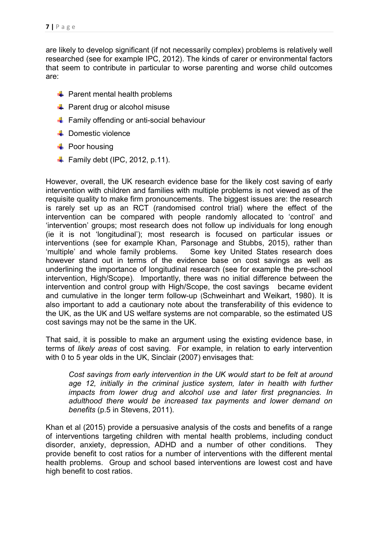are likely to develop significant (if not necessarily complex) problems is relatively well researched (see for example IPC, 2012). The kinds of carer or environmental factors that seem to contribute in particular to worse parenting and worse child outcomes are:

- $\downarrow$  Parent mental health problems
- $\downarrow$  Parent drug or alcohol misuse
- **Family offending or anti-social behaviour**
- $\leftarrow$  Domestic violence
- $\blacksquare$  Poor housing
- $\blacktriangle$  Family debt (IPC, 2012, p.11).

However, overall, the UK research evidence base for the likely cost saving of early intervention with children and families with multiple problems is not viewed as of the requisite quality to make firm pronouncements. The biggest issues are: the research is rarely set up as an RCT (randomised control trial) where the effect of the intervention can be compared with people randomly allocated to 'control' and 'intervention' groups; most research does not follow up individuals for long enough (ie it is not 'longitudinal'); most research is focused on particular issues or interventions (see for example Khan, Parsonage and Stubbs, 2015), rather than 'multiple' and whole family problems. Some key United States research does however stand out in terms of the evidence base on cost savings as well as underlining the importance of longitudinal research (see for example the pre-school intervention, High/Scope). Importantly, there was no initial difference between the intervention and control group with High/Scope, the cost savings became evident and cumulative in the longer term follow-up (Schweinhart and Weikart, 1980). It is also important to add a cautionary note about the transferability of this evidence to the UK, as the UK and US welfare systems are not comparable, so the estimated US cost savings may not be the same in the UK.

That said, it is possible to make an argument using the existing evidence base, in terms of *likely areas* of cost saving. For example, in relation to early intervention with 0 to 5 year olds in the UK, Sinclair (2007) envisages that:

*Cost savings from early intervention in the UK would start to be felt at around*  age 12, initially in the criminal justice system, later in health with further *impacts from lower drug and alcohol use and later first pregnancies. In adulthood there would be increased tax payments and lower demand on benefits* (p.5 in Stevens, 2011).

Khan et al (2015) provide a persuasive analysis of the costs and benefits of a range of interventions targeting children with mental health problems, including conduct disorder, anxiety, depression, ADHD and a number of other conditions. They provide benefit to cost ratios for a number of interventions with the different mental health problems. Group and school based interventions are lowest cost and have high benefit to cost ratios.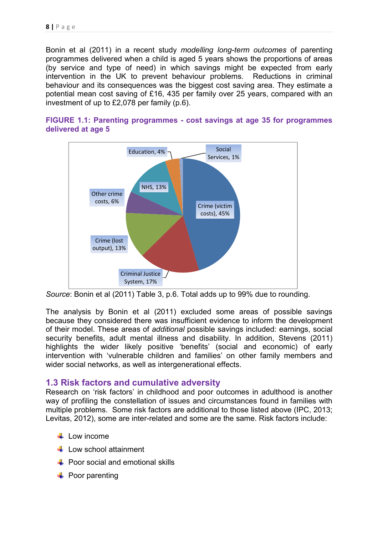Bonin et al (2011) in a recent study *modelling long-term outcomes* of parenting programmes delivered when a child is aged 5 years shows the proportions of areas (by service and type of need) in which savings might be expected from early intervention in the UK to prevent behaviour problems. Reductions in criminal behaviour and its consequences was the biggest cost saving area. They estimate a potential mean cost saving of £16, 435 per family over 25 years, compared with an investment of up to £2,078 per family (p.6).

### **FIGURE 1.1: Parenting programmes - cost savings at age 35 for programmes delivered at age 5**



*Source*: Bonin et al (2011) Table 3, p.6. Total adds up to 99% due to rounding.

The analysis by Bonin et al (2011) excluded some areas of possible savings because they considered there was insufficient evidence to inform the development of their model. These areas of *additional* possible savings included: earnings, social security benefits, adult mental illness and disability. In addition, Stevens (2011) highlights the wider likely positive 'benefits' (social and economic) of early intervention with 'vulnerable children and families' on other family members and wider social networks, as well as intergenerational effects.

## **1.3 Risk factors and cumulative adversity**

Research on 'risk factors' in childhood and poor outcomes in adulthood is another way of profiling the constellation of issues and circumstances found in families with multiple problems. Some risk factors are additional to those listed above (IPC, 2013; Levitas, 2012), some are inter-related and some are the same. Risk factors include:

- $\perp$  I ow income
- **Low school attainment**
- $\leftarrow$  Poor social and emotional skills
- $\downarrow$  Poor parenting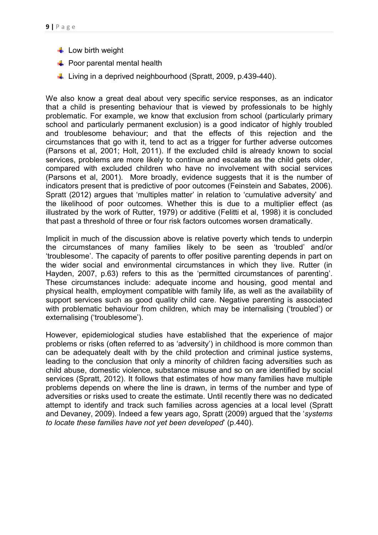- $\downarrow$  Low birth weight
- $\div$  Poor parental mental health
- $\downarrow$  Living in a deprived neighbourhood (Spratt, 2009, p.439-440).

We also know a great deal about very specific service responses, as an indicator that a child is presenting behaviour that is viewed by professionals to be highly problematic. For example, we know that exclusion from school (particularly primary school and particularly permanent exclusion) is a good indicator of highly troubled and troublesome behaviour; and that the effects of this rejection and the circumstances that go with it, tend to act as a trigger for further adverse outcomes (Parsons et al, 2001; Holt, 2011). If the excluded child is already known to social services, problems are more likely to continue and escalate as the child gets older, compared with excluded children who have no involvement with social services (Parsons et al, 2001). More broadly, evidence suggests that it is the number of indicators present that is predictive of poor outcomes (Feinstein and Sabates, 2006). Spratt (2012) argues that 'multiples matter' in relation to 'cumulative adversity' and the likelihood of poor outcomes. Whether this is due to a multiplier effect (as illustrated by the work of Rutter, 1979) or additive (Felitti et al, 1998) it is concluded that past a threshold of three or four risk factors outcomes worsen dramatically.

Implicit in much of the discussion above is relative poverty which tends to underpin the circumstances of many families likely to be seen as 'troubled' and/or 'troublesome'. The capacity of parents to offer positive parenting depends in part on the wider social and environmental circumstances in which they live. Rutter (in Hayden, 2007, p.63) refers to this as the 'permitted circumstances of parenting'. These circumstances include: adequate income and housing, good mental and physical health, employment compatible with family life, as well as the availability of support services such as good quality child care. Negative parenting is associated with problematic behaviour from children, which may be internalising ('troubled') or externalising ('troublesome').

However, epidemiological studies have established that the experience of major problems or risks (often referred to as 'adversity') in childhood is more common than can be adequately dealt with by the child protection and criminal justice systems, leading to the conclusion that only a minority of children facing adversities such as child abuse, domestic violence, substance misuse and so on are identified by social services (Spratt, 2012). It follows that estimates of how many families have multiple problems depends on where the line is drawn, in terms of the number and type of adversities or risks used to create the estimate. Until recently there was no dedicated attempt to identify and track such families across agencies at a local level (Spratt and Devaney, 2009). Indeed a few years ago, Spratt (2009) argued that the '*systems to locate these families have not yet been developed*' (p.440).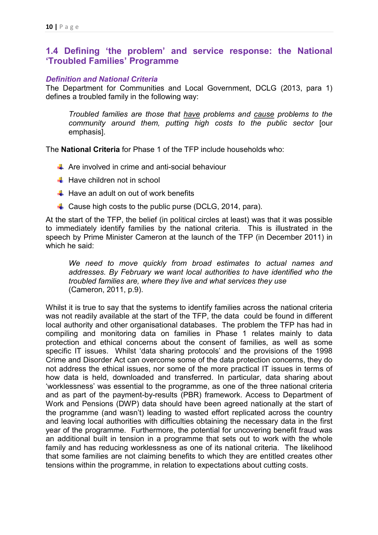## **1.4 Defining 'the problem' and service response: the National 'Troubled Families' Programme**

#### *Definition and National Criteria*

The Department for Communities and Local Government, DCLG (2013, para 1) defines a troubled family in the following way:

*Troubled families are those that have problems and cause problems to the community around them, putting high costs to the public sector* [our emphasis].

The **National Criteria** for Phase 1 of the TFP include households who:

- $\div$  Are involved in crime and anti-social behaviour
- $\blacksquare$  Have children not in school
- $\pm$  Have an adult on out of work benefits
- $\div$  Cause high costs to the public purse (DCLG, 2014, para).

At the start of the TFP, the belief (in political circles at least) was that it was possible to immediately identify families by the national criteria. This is illustrated in the speech by Prime Minister Cameron at the launch of the TFP (in December 2011) in which he said:

*We need to move quickly from broad estimates to actual names and addresses. By February we want local authorities to have identified who the troubled families are, where they live and what services they use* (Cameron, 2011, p.9).

Whilst it is true to say that the systems to identify families across the national criteria was not readily available at the start of the TFP, the data could be found in different local authority and other organisational databases. The problem the TFP has had in compiling and monitoring data on families in Phase 1 relates mainly to data protection and ethical concerns about the consent of families, as well as some specific IT issues. Whilst 'data sharing protocols' and the provisions of the 1998 Crime and Disorder Act can overcome some of the data protection concerns, they do not address the ethical issues, nor some of the more practical IT issues in terms of how data is held, downloaded and transferred. In particular, data sharing about 'worklessness' was essential to the programme, as one of the three national criteria and as part of the payment-by-results (PBR) framework. Access to Department of Work and Pensions (DWP) data should have been agreed nationally at the start of the programme (and wasn't) leading to wasted effort replicated across the country and leaving local authorities with difficulties obtaining the necessary data in the first year of the programme. Furthermore, the potential for uncovering benefit fraud was an additional built in tension in a programme that sets out to work with the whole family and has reducing worklessness as one of its national criteria. The likelihood that some families are not claiming benefits to which they are entitled creates other tensions within the programme, in relation to expectations about cutting costs.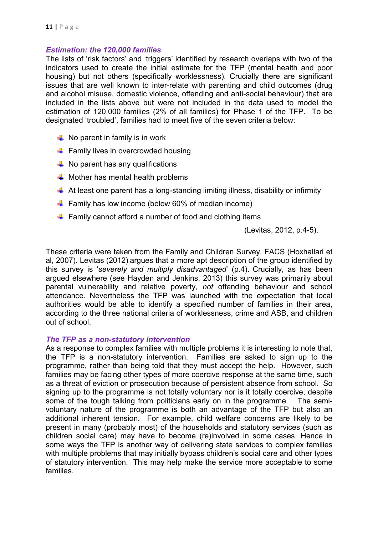### *Estimation: the 120,000 families*

The lists of 'risk factors' and 'triggers' identified by research overlaps with two of the indicators used to create the initial estimate for the TFP (mental health and poor housing) but not others (specifically worklessness). Crucially there are significant issues that are well known to inter-relate with parenting and child outcomes (drug and alcohol misuse, domestic violence, offending and anti-social behaviour) that are included in the lists above but were not included in the data used to model the estimation of 120,000 families (2% of all families) for Phase 1 of the TFP. To be designated 'troubled', families had to meet five of the seven criteria below:

- $\downarrow$  No parent in family is in work
- **Family lives in overcrowded housing**
- $\downarrow$  No parent has any qualifications
- $\downarrow$  Mother has mental health problems
- $\downarrow$  At least one parent has a long-standing limiting illness, disability or infirmity
- $\blacksquare$  Family has low income (below 60% of median income)
- $\downarrow$  Family cannot afford a number of food and clothing items

(Levitas, 2012, p.4-5).

These criteria were taken from the Family and Children Survey, FACS (Hoxhallari et al, 2007). Levitas (2012) argues that a more apt description of the group identified by this survey is '*severely and multiply disadvantaged*' (p.4). Crucially, as has been argued elsewhere (see Hayden and Jenkins, 2013) this survey was primarily about parental vulnerability and relative poverty, *not* offending behaviour and school attendance. Nevertheless the TFP was launched with the expectation that local authorities would be able to identify a specified number of families in their area, according to the three national criteria of worklessness, crime and ASB, and children out of school.

#### *The TFP as a non-statutory intervention*

As a response to complex families with multiple problems it is interesting to note that, the TFP is a non-statutory intervention. Families are asked to sign up to the programme, rather than being told that they must accept the help. However, such families may be facing other types of more coercive response at the same time, such as a threat of eviction or prosecution because of persistent absence from school. So signing up to the programme is not totally voluntary nor is it totally coercive, despite some of the tough talking from politicians early on in the programme. The semivoluntary nature of the programme is both an advantage of the TFP but also an additional inherent tension. For example, child welfare concerns are likely to be present in many (probably most) of the households and statutory services (such as children social care) may have to become (re)involved in some cases. Hence in some ways the TFP is another way of delivering state services to complex families with multiple problems that may initially bypass children's social care and other types of statutory intervention. This may help make the service more acceptable to some families.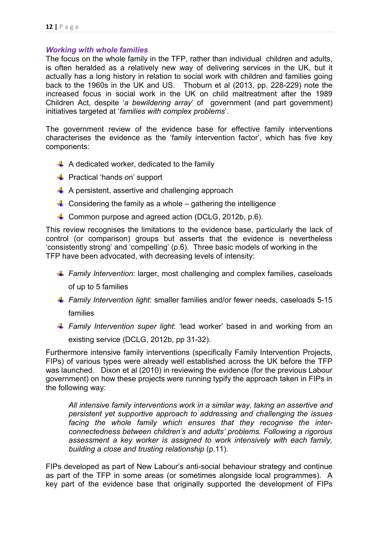### *Working with whole families*

The focus on the whole family in the TFP, rather than individual children and adults, is often heralded as a relatively new way of delivering services in the UK, but it actually has a long history in relation to social work with children and families going back to the 1960s in the UK and US. Thoburn et al (2013, pp. 228-229) note the increased focus in social work in the UK on child maltreatment after the 1989 Children Act, despite '*a bewildering array*' of government (and part government) initiatives targeted at '*families with complex problems*'.

The government review of the evidence base for effective family interventions characterises the evidence as the 'family intervention factor', which has five key components:

- $\div$  A dedicated worker, dedicated to the family
- **E** Practical 'hands on' support
- $\uparrow$  A persistent, assertive and challenging approach
- $\blacksquare$  Considering the family as a whole gathering the intelligence
- $\downarrow$  Common purpose and agreed action (DCLG, 2012b, p.6).

This review recognises the limitations to the evidence base, particularly the lack of control (or comparison) groups but asserts that the evidence is nevertheless 'consistently strong' and 'compelling' (p.6). Three basic models of working in the TFP have been advocated, with decreasing levels of intensity:

- *Family Intervention*: larger, most challenging and complex families, caseloads of up to 5 families
- *Family Intervention light*: smaller families and/or fewer needs, caseloads 5-15 families
- **Family Intervention super light:** 'lead worker' based in and working from an existing service (DCLG, 2012b, pp 31-32).

Furthermore intensive family interventions (specifically Family Intervention Projects, FIPs) of various types were already well established across the UK before the TFP was launched. Dixon et al (2010) in reviewing the evidence (for the previous Labour government) on how these projects were running typify the approach taken in FIPs in the following way:

*All intensive family interventions work in a similar way, taking an assertive and persistent yet supportive approach to addressing and challenging the issues facing the whole family which ensures that they recognise the interconnectedness between children's and adults' problems. Following a rigorous assessment a key worker is assigned to work intensively with each family, building a close and trusting relationship* (p.11).

FIPs developed as part of New Labour's anti-social behaviour strategy and continue as part of the TFP in some areas (or sometimes alongside local programmes). A key part of the evidence base that originally supported the development of FIPs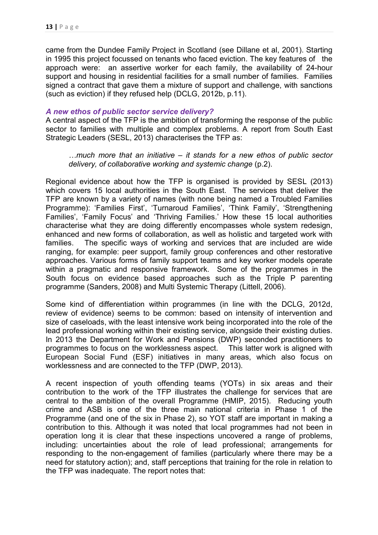came from the Dundee Family Project in Scotland (see Dillane et al, 2001). Starting in 1995 this project focussed on tenants who faced eviction. The key features of the approach were: an assertive worker for each family, the availability of 24-hour support and housing in residential facilities for a small number of families. Families signed a contract that gave them a mixture of support and challenge, with sanctions (such as eviction) if they refused help (DCLG, 2012b, p.11).

### *A new ethos of public sector service delivery?*

A central aspect of the TFP is the ambition of transforming the response of the public sector to families with multiple and complex problems. A report from South East Strategic Leaders (SESL, 2013) characterises the TFP as:

*…much more that an initiative – it stands for a new ethos of public sector delivery, of collaborative working and systemic change* (p.2).

Regional evidence about how the TFP is organised is provided by SESL (2013) which covers 15 local authorities in the South East. The services that deliver the TFP are known by a variety of names (with none being named a Troubled Families Programme): 'Families First', 'Turnaroud Families', 'Think Family', 'Strengthening Families', 'Family Focus' and 'Thriving Families.' How these 15 local authorities characterise what they are doing differently encompasses whole system redesign, enhanced and new forms of collaboration, as well as holistic and targeted work with families. The specific ways of working and services that are included are wide ranging, for example: peer support, family group conferences and other restorative approaches. Various forms of family support teams and key worker models operate within a pragmatic and responsive framework. Some of the programmes in the South focus on evidence based approaches such as the Triple P parenting programme (Sanders, 2008) and Multi Systemic Therapy (Littell, 2006).

Some kind of differentiation within programmes (in line with the DCLG, 2012d, review of evidence) seems to be common: based on intensity of intervention and size of caseloads, with the least intensive work being incorporated into the role of the lead professional working within their existing service, alongside their existing duties. In 2013 the Department for Work and Pensions (DWP) seconded practitioners to programmes to focus on the worklessness aspect. This latter work is aligned with European Social Fund (ESF) initiatives in many areas, which also focus on worklessness and are connected to the TFP (DWP, 2013).

A recent inspection of youth offending teams (YOTs) in six areas and their contribution to the work of the TFP illustrates the challenge for services that are central to the ambition of the overall Programme (HMIP, 2015). Reducing youth crime and ASB is one of the three main national criteria in Phase 1 of the Programme (and one of the six in Phase 2), so YOT staff are important in making a contribution to this. Although it was noted that local programmes had not been in operation long it is clear that these inspections uncovered a range of problems, including: uncertainties about the role of lead professional; arrangements for responding to the non-engagement of families (particularly where there may be a need for statutory action); and, staff perceptions that training for the role in relation to the TFP was inadequate. The report notes that: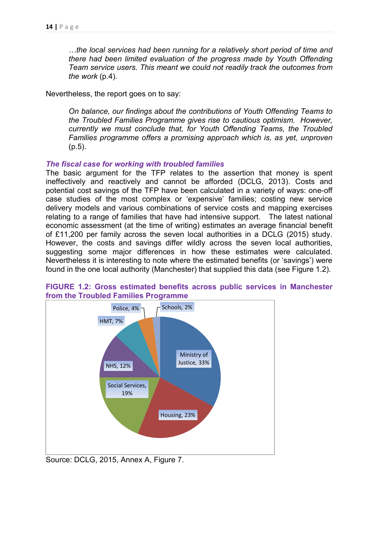*…the local services had been running for a relatively short period of time and there had been limited evaluation of the progress made by Youth Offending Team service users. This meant we could not readily track the outcomes from the work* (p.4).

Nevertheless, the report goes on to say:

*On balance, our findings about the contributions of Youth Offending Teams to the Troubled Families Programme gives rise to cautious optimism. However, currently we must conclude that, for Youth Offending Teams, the Troubled Families programme offers a promising approach which is, as yet, unproven* (p.5).

#### *The fiscal case for working with troubled families*

The basic argument for the TFP relates to the assertion that money is spent ineffectively and reactively and cannot be afforded (DCLG, 2013). Costs and potential cost savings of the TFP have been calculated in a variety of ways: one-off case studies of the most complex or 'expensive' families; costing new service delivery models and various combinations of service costs and mapping exercises relating to a range of families that have had intensive support. The latest national economic assessment (at the time of writing) estimates an average financial benefit of £11,200 per family across the seven local authorities in a DCLG (2015) study. However, the costs and savings differ wildly across the seven local authorities, suggesting some major differences in how these estimates were calculated. Nevertheless it is interesting to note where the estimated benefits (or 'savings') were found in the one local authority (Manchester) that supplied this data (see Figure 1.2).



**FIGURE 1.2: Gross estimated benefits across public services in Manchester from the Troubled Families Programme** 

Source: DCLG, 2015, Annex A, Figure 7.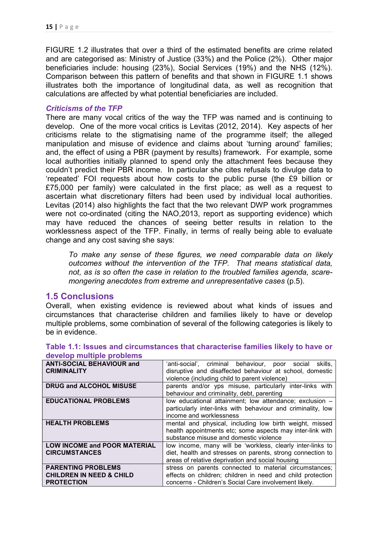FIGURE 1.2 illustrates that over a third of the estimated benefits are crime related and are categorised as: Ministry of Justice (33%) and the Police (2%). Other major beneficiaries include: housing (23%), Social Services (19%) and the NHS (12%). Comparison between this pattern of benefits and that shown in FIGURE 1.1 shows illustrates both the importance of longitudinal data, as well as recognition that calculations are affected by what potential beneficiaries are included.

### *Criticisms of the TFP*

There are many vocal critics of the way the TFP was named and is continuing to develop. One of the more vocal critics is Levitas (2012, 2014). Key aspects of her criticisms relate to the stigmatising name of the programme itself; the alleged manipulation and misuse of evidence and claims about 'turning around' families; and, the effect of using a PBR (payment by results) framework. For example, some local authorities initially planned to spend only the attachment fees because they couldn't predict their PBR income. In particular she cites refusals to divulge data to 'repeated' FOI requests about how costs to the public purse (the £9 billion or £75,000 per family) were calculated in the first place; as well as a request to ascertain what discretionary filters had been used by individual local authorities. Levitas (2014) also highlights the fact that the two relevant DWP work programmes were not co-ordinated (citing the NAO,2013, report as supporting evidence) which may have reduced the chances of seeing better results in relation to the worklessness aspect of the TFP. Finally, in terms of really being able to evaluate change and any cost saving she says:

*To make any sense of these figures, we need comparable data on likely outcomes without the intervention of the TFP. That means statistical data, not, as is so often the case in relation to the troubled families agenda, scaremongering anecdotes from extreme and unrepresentative cases* (p.5).

### **1.5 Conclusions**

Overall, when existing evidence is reviewed about what kinds of issues and circumstances that characterise children and families likely to have or develop multiple problems, some combination of several of the following categories is likely to be in evidence.

| <b>ANTI-SOCIAL BEHAVIOUR and</b><br><b>CRIMINALITY</b>                                | 'anti-social', criminal behaviour, poor social skills,<br>disruptive and disaffected behaviour at school, domestic<br>violence (including child to parent violence)           |
|---------------------------------------------------------------------------------------|-------------------------------------------------------------------------------------------------------------------------------------------------------------------------------|
| <b>DRUG and ALCOHOL MISUSE</b>                                                        | parents and/or yps misuse, particularly inter-links with<br>behaviour and criminality, debt, parenting                                                                        |
| <b>EDUCATIONAL PROBLEMS</b>                                                           | low educational attainment; low attendance; exclusion -<br>particularly inter-links with behaviour and criminality, low<br>income and worklessness                            |
| <b>HEALTH PROBLEMS</b>                                                                | mental and physical, including low birth weight, missed<br>health appointments etc; some aspects may inter-link with<br>substance misuse and domestic violence                |
| <b>LOW INCOME and POOR MATERIAL</b><br><b>CIRCUMSTANCES</b>                           | low income, many will be 'workless, clearly inter-links to<br>diet, health and stresses on parents, strong connection to<br>areas of relative deprivation and social housing  |
| <b>PARENTING PROBLEMS</b><br><b>CHILDREN IN NEED &amp; CHILD</b><br><b>PROTECTION</b> | stress on parents connected to material circumstances;<br>effects on children; children in need and child protection<br>concerns - Children's Social Care involvement likely. |

#### **Table 1.1: Issues and circumstances that characterise families likely to have or develop multiple problems**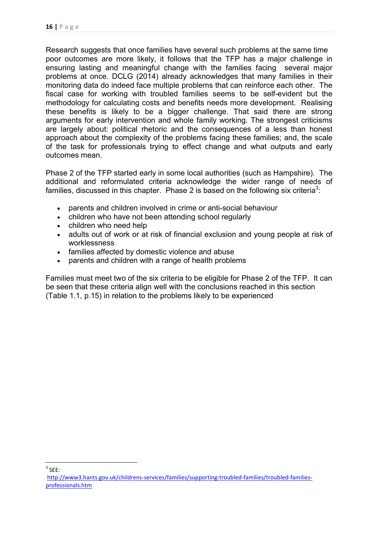Research suggests that once families have several such problems at the same time poor outcomes are more likely, it follows that the TFP has a major challenge in ensuring lasting and meaningful change with the families facing several major problems at once. DCLG (2014) already acknowledges that many families in their monitoring data do indeed face multiple problems that can reinforce each other. The fiscal case for working with troubled families seems to be self-evident but the methodology for calculating costs and benefits needs more development. Realising these benefits is likely to be a bigger challenge. That said there are strong arguments for early intervention and whole family working. The strongest criticisms are largely about: political rhetoric and the consequences of a less than honest approach about the complexity of the problems facing these families; and, the scale of the task for professionals trying to effect change and what outputs and early outcomes mean.

Phase 2 of the TFP started early in some local authorities (such as Hampshire). The additional and reformulated criteria acknowledge the wider range of needs of families, discussed in this chapter. Phase 2 is based on the following six criteria<sup>3</sup>:

- parents and children involved in crime or anti-social behaviour
- children who have not been attending school regularly
- children who need help
- adults out of work or at risk of financial exclusion and young people at risk of worklessness
- families affected by domestic violence and abuse
- parents and children with a range of health problems

Families must meet two of the six criteria to be eligible for Phase 2 of the TFP. It can be seen that these criteria align well with the conclusions reached in this section (Table 1.1, p.15) in relation to the problems likely to be experienced

 $3$  SEE:

http://www3.hants.gov.uk/childrens-services/families/supporting-troubled-families/troubled-familiesprofessionals.htm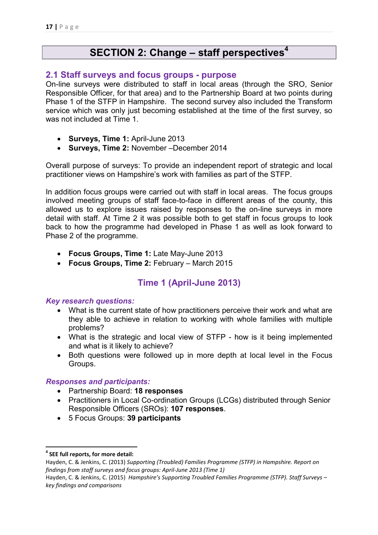# **SECTION 2: Change – staff perspectives<sup>4</sup>**

## **2.1 Staff surveys and focus groups - purpose**

On-line surveys were distributed to staff in local areas (through the SRO, Senior Responsible Officer, for that area) and to the Partnership Board at two points during Phase 1 of the STFP in Hampshire. The second survey also included the Transform service which was only just becoming established at the time of the first survey, so was not included at Time 1.

- **Surveys, Time 1:** April-June 2013
- **Surveys, Time 2:** November –December 2014

Overall purpose of surveys: To provide an independent report of strategic and local practitioner views on Hampshire's work with families as part of the STFP.

In addition focus groups were carried out with staff in local areas. The focus groups involved meeting groups of staff face-to-face in different areas of the county, this allowed us to explore issues raised by responses to the on-line surveys in more detail with staff. At Time 2 it was possible both to get staff in focus groups to look back to how the programme had developed in Phase 1 as well as look forward to Phase 2 of the programme.

- **Focus Groups, Time 1:** Late May-June 2013
- **Focus Groups, Time 2:** February March 2015

## **Time 1 (April-June 2013)**

### *Key research questions:*

- What is the current state of how practitioners perceive their work and what are they able to achieve in relation to working with whole families with multiple problems?
- What is the strategic and local view of STFP how is it being implemented and what is it likely to achieve?
- Both questions were followed up in more depth at local level in the Focus Groups.

### *Responses and participants:*

- Partnership Board: **18 responses**
- Practitioners in Local Co-ordination Groups (LCGs) distributed through Senior Responsible Officers (SROs): **107 responses**.
- 5 Focus Groups: **39 participants**

**<sup>4</sup> SEE full reports, for more detail:** 

Hayden, C. & Jenkins, C. (2013) *Supporting (Troubled) Families Programme (STFP) in Hampshire. Report on findings from staff surveys and focus groups: April-June 2013 (Time 1)* 

Hayden, C. & Jenkins, C. (2015) *Hampshire's Supporting Troubled Families Programme (STFP). Staff Surveys – key findings and comparisons*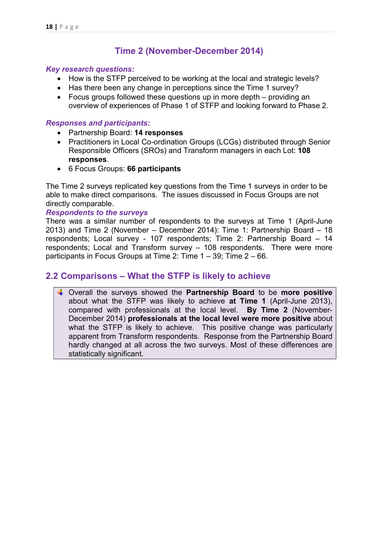## **Time 2 (November-December 2014)**

#### *Key research questions:*

- How is the STFP perceived to be working at the local and strategic levels?
- Has there been any change in perceptions since the Time 1 survey?
- Focus groups followed these questions up in more depth providing an overview of experiences of Phase 1 of STFP and looking forward to Phase 2.

#### *Responses and participants:*

- Partnership Board: **14 responses**
- Practitioners in Local Co-ordination Groups (LCGs) distributed through Senior Responsible Officers (SROs) and Transform managers in each Lot: **108 responses**.
- 6 Focus Groups: **66 participants**

The Time 2 surveys replicated key questions from the Time 1 surveys in order to be able to make direct comparisons. The issues discussed in Focus Groups are not directly comparable.

#### *Respondents to the surveys*

There was a similar number of respondents to the surveys at Time 1 (April-June 2013) and Time 2 (November – December 2014): Time 1: Partnership Board – 18 respondents; Local survey - 107 respondents; Time 2: Partnership Board – 14 respondents; Local and Transform survey – 108 respondents. There were more participants in Focus Groups at Time 2: Time 1 – 39; Time 2 – 66.

## **2.2 Comparisons – What the STFP is likely to achieve**

 Overall the surveys showed the **Partnership Board** to be **more positive** about what the STFP was likely to achieve **at Time 1** (April-June 2013), compared with professionals at the local level. **By Time 2** (November-December 2014) **professionals at the local level were more positive** about what the STFP is likely to achieve. This positive change was particularly apparent from Transform respondents. Response from the Partnership Board hardly changed at all across the two surveys. Most of these differences are statistically significant.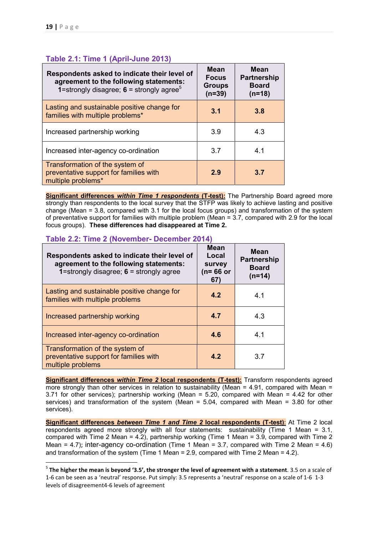### **Table 2.1: Time 1 (April-June 2013)**

| Respondents asked to indicate their level of<br>agreement to the following statements:<br><b>1</b> =strongly disagree; $6$ = strongly agree <sup>5</sup> | <b>Mean</b><br><b>Focus</b><br><b>Groups</b><br>$(n=39)$ | <b>Mean</b><br><b>Partnership</b><br><b>Board</b><br>$(n=18)$ |
|----------------------------------------------------------------------------------------------------------------------------------------------------------|----------------------------------------------------------|---------------------------------------------------------------|
| Lasting and sustainable positive change for<br>families with multiple problems*                                                                          | 3.1                                                      | 3.8                                                           |
| Increased partnership working                                                                                                                            | 3.9                                                      | 4.3                                                           |
| Increased inter-agency co-ordination                                                                                                                     | 3.7                                                      | 4.1                                                           |
| Transformation of the system of<br>preventative support for families with<br>multiple problems*                                                          | 2.9                                                      | 3.7                                                           |

**Significant differences** *within Time 1 respondents* **(T-test):** The Partnership Board agreed more strongly than respondents to the local survey that the STFP was likely to achieve lasting and positive change (Mean = 3.8, compared with 3.1 for the local focus groups) and transformation of the system of preventative support for families with multiple problem (Mean = 3.7, compared with 2.9 for the local focus groups). **These differences had disappeared at Time 2.** 

### **Table 2.2: Time 2 (November- December 2014)**

| Respondents asked to indicate their level of<br>agreement to the following statements:<br>1=strongly disagree; $6$ = strongly agree | <b>Mean</b><br>Local<br>survey<br>$(n=66$ or<br>67) | <b>Mean</b><br><b>Partnership</b><br><b>Board</b><br>$(n=14)$ |
|-------------------------------------------------------------------------------------------------------------------------------------|-----------------------------------------------------|---------------------------------------------------------------|
| Lasting and sustainable positive change for<br>families with multiple problems                                                      | 4.2                                                 | 4.1                                                           |
| Increased partnership working                                                                                                       | 4.7                                                 | 4.3                                                           |
| Increased inter-agency co-ordination                                                                                                | 4.6                                                 | 4.1                                                           |
| Transformation of the system of<br>preventative support for families with<br>multiple problems                                      | 4.2                                                 | 3 7                                                           |

**Significant differences** *within Time 2* **local respondents (T-test):** Transform respondents agreed more strongly than other services in relation to sustainability (Mean =  $4.91$ , compared with Mean = 3.71 for other services); partnership working (Mean = 5.20, compared with Mean = 4.42 for other services) and transformation of the system (Mean = 5.04, compared with Mean = 3.80 for other services).

**Significant differences** *between Time 1 and Time 2* **local respondents (T-test)**: At Time 2 local respondents agreed more strongly with all four statements: sustainability (Time 1 Mean = 3.1, compared with Time 2 Mean = 4.2), partnership working (Time 1 Mean = 3.9, compared with Time 2 Mean = 4.7); inter-agency co-ordination (Time 1 Mean = 3.7, compared with Time 2 Mean = 4.6) and transformation of the system (Time 1 Mean  $= 2.9$ , compared with Time 2 Mean  $= 4.2$ ).

<sup>5</sup> **The higher the mean is beyond '3.5', the stronger the level of agreement with a statement**. 3.5 on a scale of 1-6 can be seen as a 'neutral' response. Put simply: 3.5 represents a 'neutral' response on a scale of 1-6 1-3 levels of disagreement4-6 levels of agreement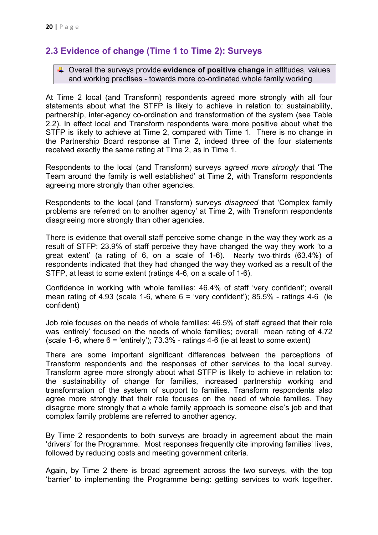# **2.3 Evidence of change (Time 1 to Time 2): Surveys**

 Overall the surveys provide **evidence of positive change** in attitudes, values and working practises - towards more co-ordinated whole family working

At Time 2 local (and Transform) respondents agreed more strongly with all four statements about what the STFP is likely to achieve in relation to: sustainability, partnership, inter-agency co-ordination and transformation of the system (see Table 2.2). In effect local and Transform respondents were more positive about what the STFP is likely to achieve at Time 2, compared with Time 1. There is no change in the Partnership Board response at Time 2, indeed three of the four statements received exactly the same rating at Time 2, as in Time 1.

Respondents to the local (and Transform) surveys *agreed more strongly* that 'The Team around the family is well established' at Time 2, with Transform respondents agreeing more strongly than other agencies.

Respondents to the local (and Transform) surveys *disagreed* that 'Complex family problems are referred on to another agency' at Time 2, with Transform respondents disagreeing more strongly than other agencies.

There is evidence that overall staff perceive some change in the way they work as a result of STFP: 23.9% of staff perceive they have changed the way they work 'to a great extent' (a rating of 6, on a scale of 1-6). Nearly two-thirds (63.4%) of respondents indicated that they had changed the way they worked as a result of the STFP, at least to some extent (ratings 4-6, on a scale of 1-6).

Confidence in working with whole families: 46.4% of staff 'very confident'; overall mean rating of 4.93 (scale 1-6, where  $6 = 'very$  confident'); 85.5% - ratings 4-6 (ie confident)

Job role focuses on the needs of whole families: 46.5% of staff agreed that their role was 'entirely' focused on the needs of whole families; overall mean rating of 4.72 (scale 1-6, where  $6 = 'entirely')$ ; 73.3% - ratings 4-6 (ie at least to some extent)

There are some important significant differences between the perceptions of Transform respondents and the responses of other services to the local survey. Transform agree more strongly about what STFP is likely to achieve in relation to: the sustainability of change for families, increased partnership working and transformation of the system of support to families. Transform respondents also agree more strongly that their role focuses on the need of whole families. They disagree more strongly that a whole family approach is someone else's job and that complex family problems are referred to another agency.

By Time 2 respondents to both surveys are broadly in agreement about the main 'drivers' for the Programme. Most responses frequently cite improving families' lives, followed by reducing costs and meeting government criteria.

Again, by Time 2 there is broad agreement across the two surveys, with the top 'barrier' to implementing the Programme being: getting services to work together.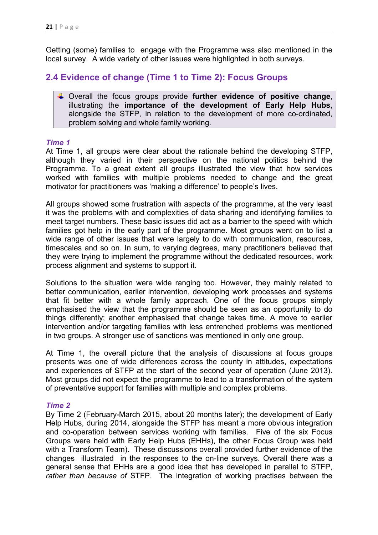Getting (some) families to engage with the Programme was also mentioned in the local survey. A wide variety of other issues were highlighted in both surveys.

## **2.4 Evidence of change (Time 1 to Time 2): Focus Groups**

 Overall the focus groups provide **further evidence of positive change**, illustrating the **importance of the development of Early Help Hubs**, alongside the STFP, in relation to the development of more co-ordinated, problem solving and whole family working.

#### *Time 1*

At Time 1, all groups were clear about the rationale behind the developing STFP, although they varied in their perspective on the national politics behind the Programme. To a great extent all groups illustrated the view that how services worked with families with multiple problems needed to change and the great motivator for practitioners was 'making a difference' to people's lives.

All groups showed some frustration with aspects of the programme, at the very least it was the problems with and complexities of data sharing and identifying families to meet target numbers. These basic issues did act as a barrier to the speed with which families got help in the early part of the programme. Most groups went on to list a wide range of other issues that were largely to do with communication, resources, timescales and so on. In sum, to varying degrees, many practitioners believed that they were trying to implement the programme without the dedicated resources, work process alignment and systems to support it.

Solutions to the situation were wide ranging too. However, they mainly related to better communication, earlier intervention, developing work processes and systems that fit better with a whole family approach. One of the focus groups simply emphasised the view that the programme should be seen as an opportunity to do things differently; another emphasised that change takes time. A move to earlier intervention and/or targeting families with less entrenched problems was mentioned in two groups. A stronger use of sanctions was mentioned in only one group.

At Time 1, the overall picture that the analysis of discussions at focus groups presents was one of wide differences across the county in attitudes, expectations and experiences of STFP at the start of the second year of operation (June 2013). Most groups did not expect the programme to lead to a transformation of the system of preventative support for families with multiple and complex problems.

### *Time 2*

By Time 2 (February-March 2015, about 20 months later); the development of Early Help Hubs, during 2014, alongside the STFP has meant a more obvious integration and co-operation between services working with families. Five of the six Focus Groups were held with Early Help Hubs (EHHs), the other Focus Group was held with a Transform Team). These discussions overall provided further evidence of the changes illustrated in the responses to the on-line surveys. Overall there was a general sense that EHHs are a good idea that has developed in parallel to STFP, *rather than because of* STFP. The integration of working practises between the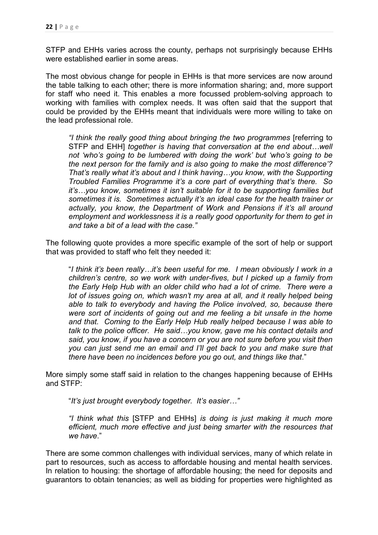STFP and EHHs varies across the county, perhaps not surprisingly because EHHs were established earlier in some areas.

The most obvious change for people in EHHs is that more services are now around the table talking to each other; there is more information sharing; and, more support for staff who need it. This enables a more focussed problem-solving approach to working with families with complex needs. It was often said that the support that could be provided by the EHHs meant that individuals were more willing to take on the lead professional role.

*"I think the really good thing about bringing the two programmes* [referring to STFP and EHH] *together is having that conversation at the end about…well not 'who's going to be lumbered with doing the work' but 'who's going to be the next person for the family and is also going to make the most difference'? That's really what it's about and I think having…you know, with the Supporting Troubled Families Programme it's a core part of everything that's there. So it's…you know, sometimes it isn't suitable for it to be supporting families but sometimes it is. Sometimes actually it's an ideal case for the health trainer or actually, you know, the Department of Work and Pensions if it's all around employment and worklessness it is a really good opportunity for them to get in and take a bit of a lead with the case."* 

The following quote provides a more specific example of the sort of help or support that was provided to staff who felt they needed it:

"*I think it's been really…it's been useful for me. I mean obviously I work in a children's centre, so we work with under-fives, but I picked up a family from the Early Help Hub with an older child who had a lot of crime. There were a*  lot of issues going on, which wasn't my area at all, and it really helped being *able to talk to everybody and having the Police involved, so, because there were sort of incidents of going out and me feeling a bit unsafe in the home and that. Coming to the Early Help Hub really helped because I was able to talk to the police officer. He said…you know, gave me his contact details and said, you know, if you have a concern or you are not sure before you visit then you can just send me an email and I'll get back to you and make sure that there have been no incidences before you go out, and things like that*."

More simply some staff said in relation to the changes happening because of EHHs and STFP:

"*It's just brought everybody together. It's easier…"* 

*"I think what this* [STFP and EHHs] *is doing is just making it much more efficient, much more effective and just being smarter with the resources that we have*."

There are some common challenges with individual services, many of which relate in part to resources, such as access to affordable housing and mental health services. In relation to housing: the shortage of affordable housing; the need for deposits and guarantors to obtain tenancies; as well as bidding for properties were highlighted as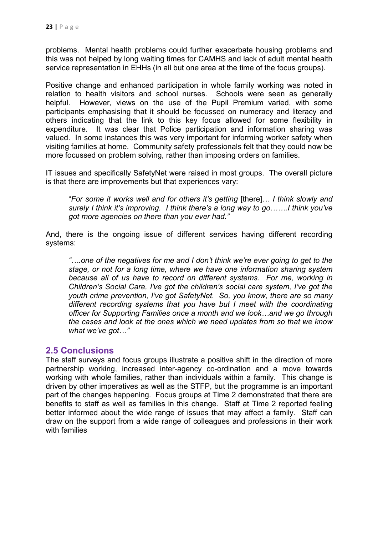problems. Mental health problems could further exacerbate housing problems and this was not helped by long waiting times for CAMHS and lack of adult mental health service representation in EHHs (in all but one area at the time of the focus groups).

Positive change and enhanced participation in whole family working was noted in relation to health visitors and school nurses. Schools were seen as generally helpful. However, views on the use of the Pupil Premium varied, with some participants emphasising that it should be focussed on numeracy and literacy and others indicating that the link to this key focus allowed for some flexibility in expenditure. It was clear that Police participation and information sharing was valued. In some instances this was very important for informing worker safety when visiting families at home. Community safety professionals felt that they could now be more focussed on problem solving, rather than imposing orders on families.

IT issues and specifically SafetyNet were raised in most groups. The overall picture is that there are improvements but that experiences vary:

"*For some it works well and for others it's getting* [there]*… I think slowly and surely I think it's improving. I think there's a long way to go…….I think you've got more agencies on there than you ever had."*

And, there is the ongoing issue of different services having different recording systems:

*"….one of the negatives for me and I don't think we're ever going to get to the stage, or not for a long time, where we have one information sharing system because all of us have to record on different systems. For me, working in Children's Social Care, I've got the children's social care system, I've got the youth crime prevention, I've got SafetyNet. So, you know, there are so many different recording systems that you have but I meet with the coordinating officer for Supporting Families once a month and we look…and we go through the cases and look at the ones which we need updates from so that we know what we've got…"* 

### **2.5 Conclusions**

The staff surveys and focus groups illustrate a positive shift in the direction of more partnership working, increased inter-agency co-ordination and a move towards working with whole families, rather than individuals within a family. This change is driven by other imperatives as well as the STFP, but the programme is an important part of the changes happening. Focus groups at Time 2 demonstrated that there are benefits to staff as well as families in this change. Staff at Time 2 reported feeling better informed about the wide range of issues that may affect a family. Staff can draw on the support from a wide range of colleagues and professions in their work with families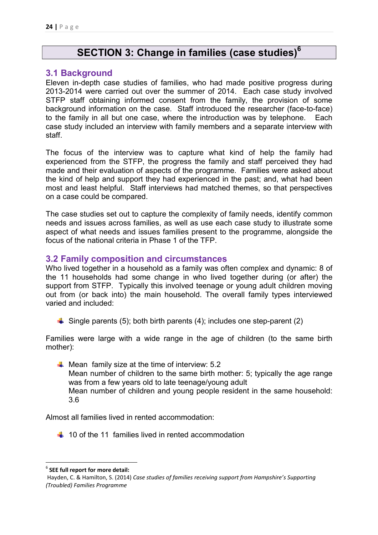# **SECTION 3: Change in families (case studies)<sup>6</sup>**

### **3.1 Background**

Eleven in-depth case studies of families, who had made positive progress during 2013-2014 were carried out over the summer of 2014. Each case study involved STFP staff obtaining informed consent from the family, the provision of some background information on the case. Staff introduced the researcher (face-to-face) to the family in all but one case, where the introduction was by telephone. Each case study included an interview with family members and a separate interview with staff.

The focus of the interview was to capture what kind of help the family had experienced from the STFP, the progress the family and staff perceived they had made and their evaluation of aspects of the programme. Families were asked about the kind of help and support they had experienced in the past; and, what had been most and least helpful. Staff interviews had matched themes, so that perspectives on a case could be compared.

The case studies set out to capture the complexity of family needs, identify common needs and issues across families, as well as use each case study to illustrate some aspect of what needs and issues families present to the programme, alongside the focus of the national criteria in Phase 1 of the TFP.

## **3.2 Family composition and circumstances**

Who lived together in a household as a family was often complex and dynamic: 8 of the 11 households had some change in who lived together during (or after) the support from STFP. Typically this involved teenage or young adult children moving out from (or back into) the main household. The overall family types interviewed varied and included:

 $\downarrow$  Single parents (5); both birth parents (4); includes one step-parent (2)

Families were large with a wide range in the age of children (to the same birth mother):

 $\blacktriangle$  Mean family size at the time of interview: 5.2 Mean number of children to the same birth mother: 5; typically the age range was from a few years old to late teenage/young adult Mean number of children and young people resident in the same household: 3.6

Almost all families lived in rented accommodation:

 $\pm$  10 of the 11 families lived in rented accommodation

<sup>6</sup> **SEE full report for more detail:**

Hayden, C. & Hamilton, S. (2014) *Case studies of families receiving support from Hampshire's Supporting (Troubled) Families Programme*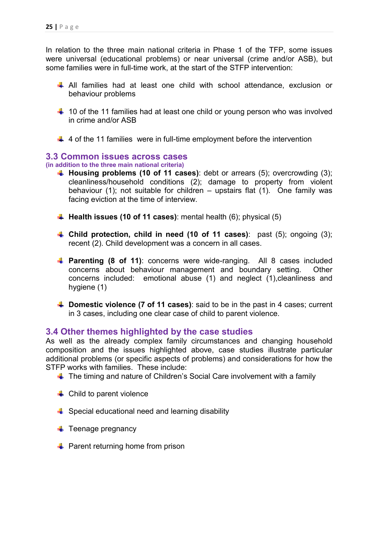In relation to the three main national criteria in Phase 1 of the TFP, some issues were universal (educational problems) or near universal (crime and/or ASB), but some families were in full-time work, at the start of the STFP intervention:

- $\overline{+}$  All families had at least one child with school attendance, exclusion or behaviour problems
- $\frac{1}{2}$  10 of the 11 families had at least one child or young person who was involved in crime and/or ASB
- $\downarrow$  4 of the 11 families were in full-time employment before the intervention

### **3.3 Common issues across cases**

#### **(in addition to the three main national criteria)**

- **Housing problems (10 of 11 cases)**: debt or arrears (5); overcrowding (3); cleanliness/household conditions (2); damage to property from violent behaviour (1); not suitable for children – upstairs flat (1). One family was facing eviction at the time of interview.
- **Health issues (10 of 11 cases)**: mental health (6); physical (5)
- **Child protection, child in need (10 of 11 cases)**: past (5); ongoing (3); recent (2). Child development was a concern in all cases.
- **Parenting (8 of 11)**: concerns were wide-ranging. All 8 cases included concerns about behaviour management and boundary setting. Other concerns included: emotional abuse (1) and neglect (1),cleanliness and hygiene (1)
- **Domestic violence (7 of 11 cases)**: said to be in the past in 4 cases; current in 3 cases, including one clear case of child to parent violence.

### **3.4 Other themes highlighted by the case studies**

As well as the already complex family circumstances and changing household composition and the issues highlighted above, case studies illustrate particular additional problems (or specific aspects of problems) and considerations for how the STFP works with families. These include:

- $\ddot{\phantom{1}}$  The timing and nature of Children's Social Care involvement with a family
- $\leftarrow$  Child to parent violence
- Special educational need and learning disability
- $\ddot{\bullet}$  Teenage pregnancy
- $\ddot{\bullet}$  Parent returning home from prison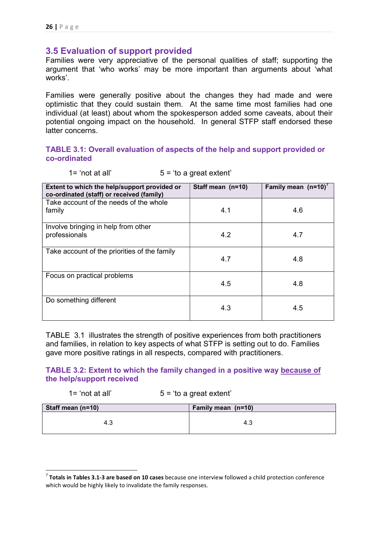## **3.5 Evaluation of support provided**

Families were very appreciative of the personal qualities of staff; supporting the argument that 'who works' may be more important than arguments about 'what works'.

Families were generally positive about the changes they had made and were optimistic that they could sustain them. At the same time most families had one individual (at least) about whom the spokesperson added some caveats, about their potential ongoing impact on the household. In general STFP staff endorsed these latter concerns.

### **TABLE 3.1: Overall evaluation of aspects of the help and support provided or co-ordinated**

 $1 = 'not at all'$   $5 = 'to a great extent'$ 

| Extent to which the help/support provided or<br>co-ordinated (staff) or received (family) | Staff mean (n=10) | Family mean $(n=10)^{7}$ |
|-------------------------------------------------------------------------------------------|-------------------|--------------------------|
| Take account of the needs of the whole                                                    |                   |                          |
| family                                                                                    | 4.1               | 4.6                      |
| Involve bringing in help from other                                                       |                   |                          |
| professionals                                                                             | 4.2               | 4.7                      |
| Take account of the priorities of the family                                              | 4.7               | 4.8                      |
|                                                                                           |                   |                          |
| Focus on practical problems                                                               |                   |                          |
|                                                                                           | 4.5               | 4.8                      |
| Do something different                                                                    |                   |                          |
|                                                                                           | 4.3               | 4.5                      |

TABLE 3.1 illustrates the strength of positive experiences from both practitioners and families, in relation to key aspects of what STFP is setting out to do. Families gave more positive ratings in all respects, compared with practitioners.

### **TABLE 3.2: Extent to which the family changed in a positive way because of the help/support received**

| $1 = 'not at all'$ | $5 = 'to a great extent'$ |
|--------------------|---------------------------|
|--------------------|---------------------------|

| Staff mean (n=10) | Family mean (n=10) |
|-------------------|--------------------|
| ن.4               | د. 4               |

<sup>7</sup> **Totals in Tables 3.1-3 are based on 10 cases** because one interview followed a child protection conference which would be highly likely to invalidate the family responses.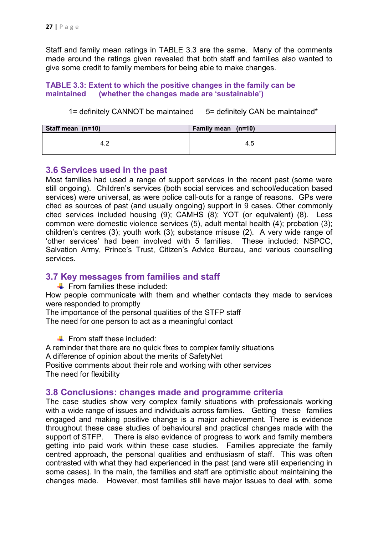Staff and family mean ratings in TABLE 3.3 are the same. Many of the comments made around the ratings given revealed that both staff and families also wanted to give some credit to family members for being able to make changes.

### **TABLE 3.3: Extent to which the positive changes in the family can be maintained (whether the changes made are 'sustainable')**

1= definitely CANNOT be maintained 5= definitely CAN be maintained\*

| Staff mean (n=10) | Family mean (n=10) |
|-------------------|--------------------|
|                   | 4.5                |

### **3.6 Services used in the past**

Most families had used a range of support services in the recent past (some were still ongoing). Children's services (both social services and school/education based services) were universal, as were police call-outs for a range of reasons. GPs were cited as sources of past (and usually ongoing) support in 9 cases. Other commonly cited services included housing (9); CAMHS (8); YOT (or equivalent) (8). Less common were domestic violence services (5), adult mental health (4); probation (3); children's centres (3); youth work (3); substance misuse (2). A very wide range of 'other services' had been involved with 5 families. These included: NSPCC, Salvation Army, Prince's Trust, Citizen's Advice Bureau, and various counselling services.

### **3.7 Key messages from families and staff**

 $\downarrow$  From families these included:

How people communicate with them and whether contacts they made to services were responded to promptly

The importance of the personal qualities of the STFP staff The need for one person to act as a meaningful contact

 $\div$  From staff these included:

A reminder that there are no quick fixes to complex family situations A difference of opinion about the merits of SafetyNet Positive comments about their role and working with other services The need for flexibility

### **3.8 Conclusions: changes made and programme criteria**

The case studies show very complex family situations with professionals working with a wide range of issues and individuals across families. Getting these families engaged and making positive change is a major achievement. There is evidence throughout these case studies of behavioural and practical changes made with the support of STFP. There is also evidence of progress to work and family members getting into paid work within these case studies. Families appreciate the family centred approach, the personal qualities and enthusiasm of staff. This was often contrasted with what they had experienced in the past (and were still experiencing in some cases). In the main, the families and staff are optimistic about maintaining the changes made. However, most families still have major issues to deal with, some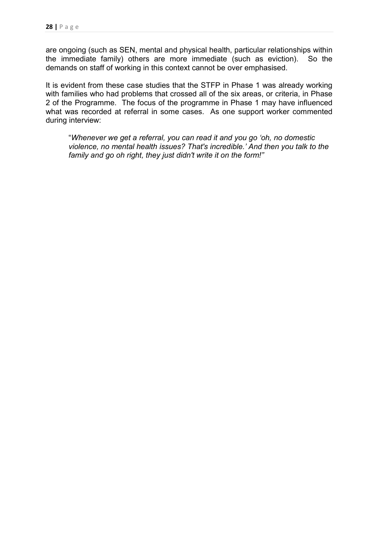are ongoing (such as SEN, mental and physical health, particular relationships within the immediate family) others are more immediate (such as eviction). So the demands on staff of working in this context cannot be over emphasised.

It is evident from these case studies that the STFP in Phase 1 was already working with families who had problems that crossed all of the six areas, or criteria, in Phase 2 of the Programme. The focus of the programme in Phase 1 may have influenced what was recorded at referral in some cases. As one support worker commented during interview:

"*Whenever we get a referral, you can read it and you go 'oh, no domestic violence, no mental health issues? That's incredible.' And then you talk to the family and go oh right, they just didn't write it on the form!"*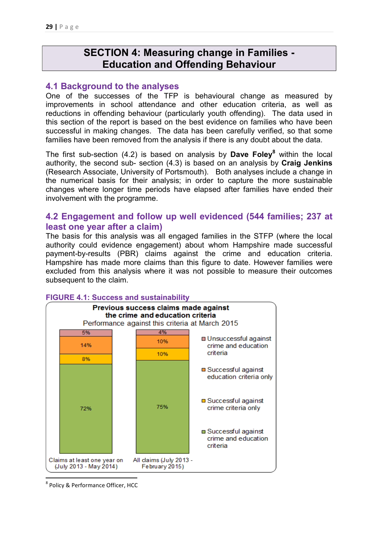# **SECTION 4: Measuring change in Families - Education and Offending Behaviour**

### **4.1 Background to the analyses**

One of the successes of the TFP is behavioural change as measured by improvements in school attendance and other education criteria, as well as reductions in offending behaviour (particularly youth offending). The data used in this section of the report is based on the best evidence on families who have been successful in making changes. The data has been carefully verified, so that some families have been removed from the analysis if there is any doubt about the data.

The first sub-section (4.2) is based on analysis by Dave Foley<sup>8</sup> within the local authority, the second sub- section (4.3) is based on an analysis by **Craig Jenkins** (Research Associate, University of Portsmouth). Both analyses include a change in the numerical basis for their analysis; in order to capture the more sustainable changes where longer time periods have elapsed after families have ended their involvement with the programme.

### **4.2 Engagement and follow up well evidenced (544 families; 237 at least one year after a claim)**

The basis for this analysis was all engaged families in the STFP (where the local authority could evidence engagement) about whom Hampshire made successful payment-by-results (PBR) claims against the crime and education criteria. Hampshire has made more claims than this figure to date. However families were excluded from this analysis where it was not possible to measure their outcomes subsequent to the claim.



#### **FIGURE 4.1: Success and sustainability**

<sup>&</sup>lt;sup>8</sup> Policy & Performance Officer, HCC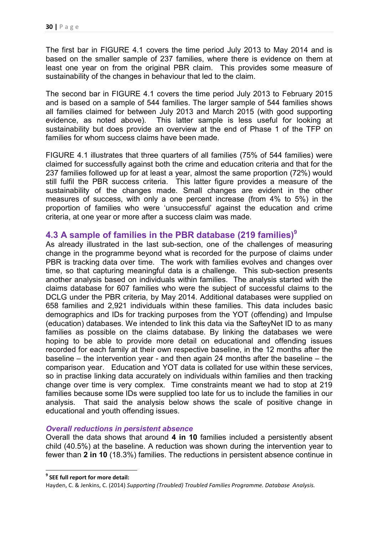The first bar in FIGURE 4.1 covers the time period July 2013 to May 2014 and is based on the smaller sample of 237 families, where there is evidence on them at least one year on from the original PBR claim. This provides some measure of sustainability of the changes in behaviour that led to the claim.

The second bar in FIGURE 4.1 covers the time period July 2013 to February 2015 and is based on a sample of 544 families. The larger sample of 544 families shows all families claimed for between July 2013 and March 2015 (with good supporting evidence, as noted above). This latter sample is less useful for looking at sustainability but does provide an overview at the end of Phase 1 of the TFP on families for whom success claims have been made.

FIGURE 4.1 illustrates that three quarters of all families (75% of 544 families) were claimed for successfully against both the crime and education criteria and that for the 237 families followed up for at least a year, almost the same proportion (72%) would still fulfil the PBR success criteria. This latter figure provides a measure of the sustainability of the changes made. Small changes are evident in the other measures of success, with only a one percent increase (from 4% to 5%) in the proportion of families who were 'unsuccessful' against the education and crime criteria, at one year or more after a success claim was made.

## **4.3 A sample of families in the PBR database (219 families)9**

As already illustrated in the last sub-section, one of the challenges of measuring change in the programme beyond what is recorded for the purpose of claims under PBR is tracking data over time. The work with families evolves and changes over time, so that capturing meaningful data is a challenge. This sub-section presents another analysis based on individuals within families. The analysis started with the claims database for 607 families who were the subject of successful claims to the DCLG under the PBR criteria, by May 2014. Additional databases were supplied on 658 families and 2,921 individuals within these families. This data includes basic demographics and IDs for tracking purposes from the YOT (offending) and Impulse (education) databases. We intended to link this data via the SafteyNet ID to as many families as possible on the claims database. By linking the databases we were hoping to be able to provide more detail on educational and offending issues recorded for each family at their own respective baseline, in the 12 months after the baseline – the intervention year - and then again 24 months after the baseline – the comparison year. Education and YOT data is collated for use within these services, so in practise linking data accurately on individuals within families and then tracking change over time is very complex. Time constraints meant we had to stop at 219 families because some IDs were supplied too late for us to include the families in our analysis. That said the analysis below shows the scale of positive change in educational and youth offending issues.

#### *Overall reductions in persistent absence*

Overall the data shows that around **4 in 10** families included a persistently absent child (40.5%) at the baseline. A reduction was shown during the intervention year to fewer than **2 in 10** (18.3%) families. The reductions in persistent absence continue in

**<sup>9</sup> SEE full report for more detail:** 

Hayden, C. & Jenkins, C. (2014) *Supporting (Troubled) Troubled Families Programme. Database Analysis.*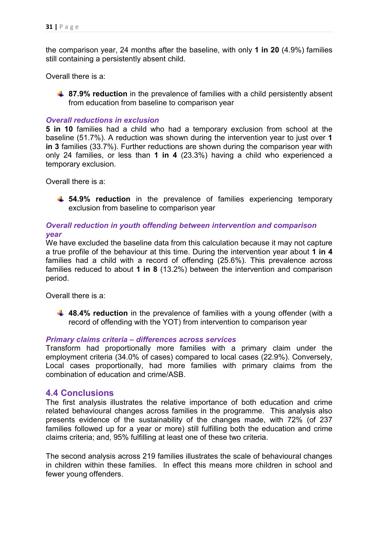the comparison year, 24 months after the baseline, with only **1 in 20** (4.9%) families still containing a persistently absent child.

Overall there is a:

**4 87.9% reduction** in the prevalence of families with a child persistently absent from education from baseline to comparison year

#### *Overall reductions in exclusion*

**5 in 10** families had a child who had a temporary exclusion from school at the baseline (51.7%). A reduction was shown during the intervention year to just over **1 in 3** families (33.7%). Further reductions are shown during the comparison year with only 24 families, or less than **1 in 4** (23.3%) having a child who experienced a temporary exclusion.

Overall there is a:

 $\uparrow$  **54.9% reduction** in the prevalence of families experiencing temporary exclusion from baseline to comparison year

### *Overall reduction in youth offending between intervention and comparison year*

We have excluded the baseline data from this calculation because it may not capture a true profile of the behaviour at this time. During the intervention year about **1 in 4** families had a child with a record of offending (25.6%). This prevalence across families reduced to about **1 in 8** (13.2%) between the intervention and comparison period.

Overall there is a:

**48.4% reduction** in the prevalence of families with a young offender (with a record of offending with the YOT) from intervention to comparison year

#### *Primary claims criteria – differences across services*

Transform had proportionally more families with a primary claim under the employment criteria (34.0% of cases) compared to local cases (22.9%). Conversely, Local cases proportionally, had more families with primary claims from the combination of education and crime/ASB.

### **4.4 Conclusions**

The first analysis illustrates the relative importance of both education and crime related behavioural changes across families in the programme. This analysis also presents evidence of the sustainability of the changes made, with 72% (of 237 families followed up for a year or more) still fulfilling both the education and crime claims criteria; and, 95% fulfilling at least one of these two criteria.

The second analysis across 219 families illustrates the scale of behavioural changes in children within these families. In effect this means more children in school and fewer young offenders.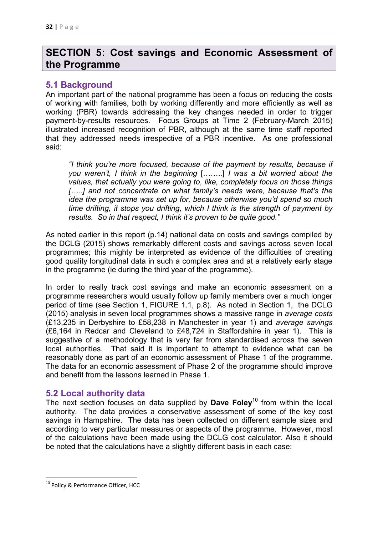# **SECTION 5: Cost savings and Economic Assessment of the Programme**

### **5.1 Background**

An important part of the national programme has been a focus on reducing the costs of working with families, both by working differently and more efficiently as well as working (PBR) towards addressing the key changes needed in order to trigger payment-by-results resources. Focus Groups at Time 2 (February-March 2015) illustrated increased recognition of PBR, although at the same time staff reported that they addressed needs irrespective of a PBR incentive. As one professional said:

*"I think you're more focused, because of the payment by results, because if you weren't, I think in the beginning* [……..] *I was a bit worried about the values, that actually you were going to, like, completely focus on those things*  [....] and not concentrate on what family's needs were, because that's the *idea the programme was set up for, because otherwise you'd spend so much time drifting, it stops you drifting, which I think is the strength of payment by results. So in that respect, I think it's proven to be quite good."* 

As noted earlier in this report (p.14) national data on costs and savings compiled by the DCLG (2015) shows remarkably different costs and savings across seven local programmes; this mighty be interpreted as evidence of the difficulties of creating good quality longitudinal data in such a complex area and at a relatively early stage in the programme (ie during the third year of the programme).

In order to really track cost savings and make an economic assessment on a programme researchers would usually follow up family members over a much longer period of time (see Section 1, FIGURE 1.1, p.8). As noted in Section 1, the DCLG (2015) analysis in seven local programmes shows a massive range in *average costs* (£13,235 in Derbyshire to £58,238 in Manchester in year 1) and *average savings* (£6,164 in Redcar and Cleveland to £48,724 in Staffordshire in year 1). This is suggestive of a methodology that is very far from standardised across the seven local authorities. That said it is important to attempt to evidence what can be reasonably done as part of an economic assessment of Phase 1 of the programme. The data for an economic assessment of Phase 2 of the programme should improve and benefit from the lessons learned in Phase 1.

## **5.2 Local authority data**

The next section focuses on data supplied by **Dave Foley**10 from within the local authority. The data provides a conservative assessment of some of the key cost savings in Hampshire. The data has been collected on different sample sizes and according to very particular measures or aspects of the programme. However, most of the calculations have been made using the DCLG cost calculator. Also it should be noted that the calculations have a slightly different basis in each case:

<sup>&</sup>lt;sup>10</sup> Policy & Performance Officer, HCC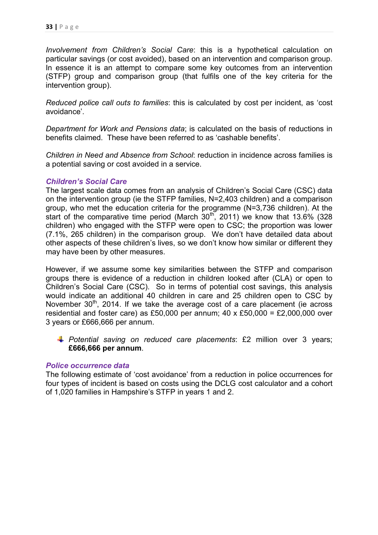*Involvement from Children's Social Care*: this is a hypothetical calculation on particular savings (or cost avoided), based on an intervention and comparison group. In essence it is an attempt to compare some key outcomes from an intervention (STFP) group and comparison group (that fulfils one of the key criteria for the intervention group).

*Reduced police call outs to families*: this is calculated by cost per incident, as 'cost avoidance'.

*Department for Work and Pensions data*; is calculated on the basis of reductions in benefits claimed. These have been referred to as 'cashable benefits'.

*Children in Need and Absence from School*: reduction in incidence across families is a potential saving or cost avoided in a service.

### *Children's Social Care*

The largest scale data comes from an analysis of Children's Social Care (CSC) data on the intervention group (ie the STFP families, N=2,403 children) and a comparison group, who met the education criteria for the programme (N=3,736 children). At the start of the comparative time period (March  $30<sup>th</sup>$ , 2011) we know that 13.6% (328 children) who engaged with the STFP were open to CSC; the proportion was lower (7.1%, 265 children) in the comparison group. We don't have detailed data about other aspects of these children's lives, so we don't know how similar or different they may have been by other measures.

However, if we assume some key similarities between the STFP and comparison groups there is evidence of a reduction in children looked after (CLA) or open to Children's Social Care (CSC). So in terms of potential cost savings, this analysis would indicate an additional 40 children in care and 25 children open to CSC by November 30<sup>th</sup>, 2014. If we take the average cost of a care placement (ie across residential and foster care) as £50,000 per annum;  $40 \times £50,000 = £2,000,000$  over 3 years or £666,666 per annum.

*Potential saving on reduced care placements*: £2 million over 3 years; **£666,666 per annum**.

#### *Police occurrence data*

The following estimate of 'cost avoidance' from a reduction in police occurrences for four types of incident is based on costs using the DCLG cost calculator and a cohort of 1,020 families in Hampshire's STFP in years 1 and 2.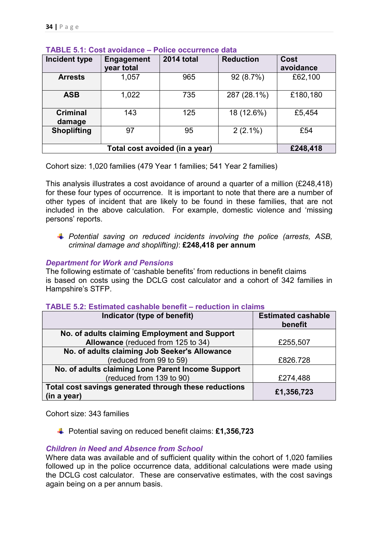| <b>Incident type</b>      | <b>Engagement</b> | <b>2014 total</b>              | <b>Reduction</b> | Cost      |
|---------------------------|-------------------|--------------------------------|------------------|-----------|
|                           | year total        |                                |                  | avoidance |
| <b>Arrests</b>            | 1,057             | 965                            | 92 (8.7%)        | £62,100   |
| <b>ASB</b>                | 1,022             | 735                            | 287 (28.1%)      | £180,180  |
| <b>Criminal</b><br>damage | 143               | 125                            | 18 (12.6%)       | £5,454    |
| <b>Shoplifting</b>        | 97                | 95                             | $2(2.1\%)$       | £54       |
|                           |                   | Total cost avoided (in a year) |                  | £248,418  |

### **TABLE 5.1: Cost avoidance – Police occurrence data**

Cohort size: 1,020 families (479 Year 1 families; 541 Year 2 families)

This analysis illustrates a cost avoidance of around a quarter of a million (£248,418) for these four types of occurrence. It is important to note that there are a number of other types of incident that are likely to be found in these families, that are not included in the above calculation. For example, domestic violence and 'missing persons' reports.

*Potential saving on reduced incidents involving the police (arrests, ASB, criminal damage and shoplifting)*: **£248,418 per annum** 

### *Department for Work and Pensions*

The following estimate of 'cashable benefits' from reductions in benefit claims is based on costs using the DCLG cost calculator and a cohort of 342 families in Hampshire's STFP.

| Indicator (type of benefit)                                          | <b>Estimated cashable</b><br>benefit |
|----------------------------------------------------------------------|--------------------------------------|
| No. of adults claiming Employment and Support                        |                                      |
| Allowance (reduced from 125 to 34)                                   | £255,507                             |
| No. of adults claiming Job Seeker's Allowance                        |                                      |
| (reduced from 99 to 59)                                              | £826.728                             |
| No. of adults claiming Lone Parent Income Support                    |                                      |
| (reduced from 139 to 90)                                             | £274,488                             |
| Total cost savings generated through these reductions<br>(in a year) | £1,356,723                           |

### **TABLE 5.2: Estimated cashable benefit – reduction in claims**

Cohort size: 343 families

Potential saving on reduced benefit claims: **£1,356,723**

### *Children in Need and Absence from School*

Where data was available and of sufficient quality within the cohort of 1,020 families followed up in the police occurrence data, additional calculations were made using the DCLG cost calculator. These are conservative estimates, with the cost savings again being on a per annum basis.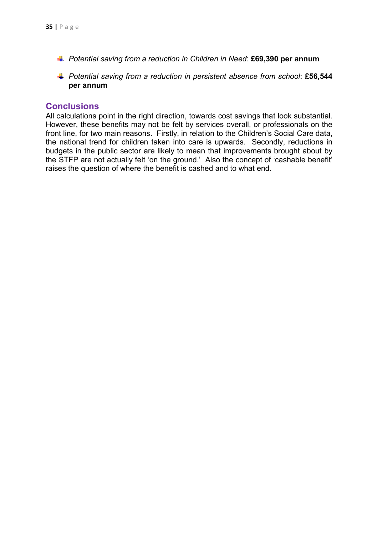- *Potential saving from a reduction in Children in Need*: **£69,390 per annum**
- *Potential saving from a reduction in persistent absence from school*: **£56,544 per annum**

### **Conclusions**

All calculations point in the right direction, towards cost savings that look substantial. However, these benefits may not be felt by services overall, or professionals on the front line, for two main reasons. Firstly, in relation to the Children's Social Care data, the national trend for children taken into care is upwards. Secondly, reductions in budgets in the public sector are likely to mean that improvements brought about by the STFP are not actually felt 'on the ground.' Also the concept of 'cashable benefit' raises the question of where the benefit is cashed and to what end.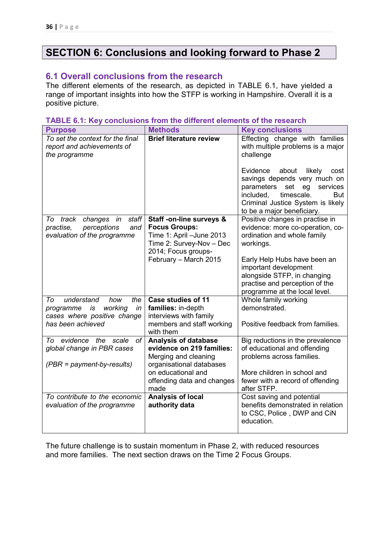# **SECTION 6: Conclusions and looking forward to Phase 2**

## **6.1 Overall conclusions from the research**

The different elements of the research, as depicted in TABLE 6.1, have yielded a range of important insights into how the STFP is working in Hampshire. Overall it is a positive picture.

#### **TABLE 6.1: Key conclusions from the different elements of the research**

| <b>Purpose</b>                                                                                                         | <b>Methods</b>                                                                                                                                           | <b>Key conclusions</b>                                                                                                                                                                                                 |
|------------------------------------------------------------------------------------------------------------------------|----------------------------------------------------------------------------------------------------------------------------------------------------------|------------------------------------------------------------------------------------------------------------------------------------------------------------------------------------------------------------------------|
| To set the context for the final<br>report and achievements of<br>the programme                                        | <b>Brief literature review</b>                                                                                                                           | Effecting change with families<br>with multiple problems is a major<br>challenge                                                                                                                                       |
|                                                                                                                        |                                                                                                                                                          | Evidence<br>about<br>likely<br>cost<br>savings depends very much on<br>parameters<br>set<br>eg<br>services<br>included,<br>timescale.<br><b>But</b><br>Criminal Justice System is likely<br>to be a major beneficiary. |
| staff<br>track<br>changes in<br>To<br>perceptions<br>practise,<br>and<br>evaluation of the programme                   | Staff -on-line surveys &<br><b>Focus Groups:</b><br>Time 1: April -June 2013<br>Time 2: Survey-Nov - Dec<br>2014; Focus groups-<br>February - March 2015 | Positive changes in practise in<br>evidence: more co-operation, co-<br>ordination and whole family<br>workings.<br>Early Help Hubs have been an                                                                        |
|                                                                                                                        |                                                                                                                                                          | important development<br>alongside STFP, in changing<br>practise and perception of the<br>programme at the local level.                                                                                                |
| understand<br>To<br>how<br>the<br>working<br>programme<br>is<br>in<br>cases where positive change<br>has been achieved | <b>Case studies of 11</b><br>families: in-depth<br>interviews with family<br>members and staff working                                                   | Whole family working<br>demonstrated.<br>Positive feedback from families.                                                                                                                                              |
| To evidence the scale<br>оf<br>global change in PBR cases<br>$(PBR = payment-by-results)$                              | with them<br><b>Analysis of database</b><br>evidence on 219 families:<br>Merging and cleaning<br>organisational databases<br>on educational and          | Big reductions in the prevalence<br>of educational and offending<br>problems across families.<br>More children in school and                                                                                           |
|                                                                                                                        | offending data and changes<br>made                                                                                                                       | fewer with a record of offending<br>after STFP.                                                                                                                                                                        |
| To contribute to the economic<br>evaluation of the programme                                                           | <b>Analysis of local</b><br>authority data                                                                                                               | Cost saving and potential<br>benefits demonstrated in relation<br>to CSC, Police, DWP and CiN<br>education.                                                                                                            |

The future challenge is to sustain momentum in Phase 2, with reduced resources and more families. The next section draws on the Time 2 Focus Groups.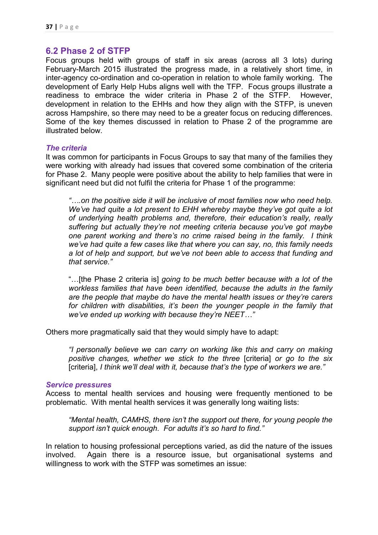### **6.2 Phase 2 of STFP**

Focus groups held with groups of staff in six areas (across all 3 lots) during February-March 2015 illustrated the progress made, in a relatively short time, in inter-agency co-ordination and co-operation in relation to whole family working. The development of Early Help Hubs aligns well with the TFP. Focus groups illustrate a readiness to embrace the wider criteria in Phase 2 of the STFP. However, development in relation to the EHHs and how they align with the STFP, is uneven across Hampshire, so there may need to be a greater focus on reducing differences. Some of the key themes discussed in relation to Phase 2 of the programme are illustrated below.

#### *The criteria*

It was common for participants in Focus Groups to say that many of the families they were working with already had issues that covered some combination of the criteria for Phase 2. Many people were positive about the ability to help families that were in significant need but did not fulfil the criteria for Phase 1 of the programme:

*"….on the positive side it will be inclusive of most families now who need help. We've had quite a lot present to EHH whereby maybe they've got quite a lot of underlying health problems and, therefore, their education's really, really suffering but actually they're not meeting criteria because you've got maybe one parent working and there's no crime raised being in the family. I think we've had quite a few cases like that where you can say, no, this family needs a lot of help and support, but we've not been able to access that funding and that service."* 

"…[the Phase 2 criteria is] *going to be much better because with a lot of the workless families that have been identified, because the adults in the family are the people that maybe do have the mental health issues or they're carers for children with disabilities, it's been the younger people in the family that we've ended up working with because they're NEET…"* 

Others more pragmatically said that they would simply have to adapt:

*"I personally believe we can carry on working like this and carry on making positive changes, whether we stick to the three* [criteria] *or go to the six*  [criteria], *I think we'll deal with it, because that's the type of workers we are."* 

#### *Service pressures*

Access to mental health services and housing were frequently mentioned to be problematic. With mental health services it was generally long waiting lists:

*"Mental health, CAMHS, there isn't the support out there, for young people the support isn't quick enough. For adults it's so hard to find."* 

In relation to housing professional perceptions varied, as did the nature of the issues involved. Again there is a resource issue, but organisational systems and willingness to work with the STFP was sometimes an issue: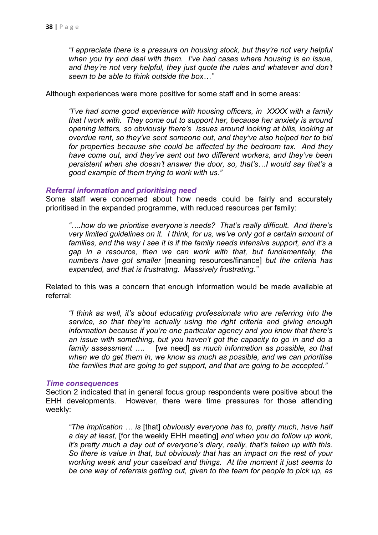*"I appreciate there is a pressure on housing stock, but they're not very helpful when you try and deal with them. I've had cases where housing is an issue, and they're not very helpful, they just quote the rules and whatever and don't seem to be able to think outside the box…"* 

Although experiences were more positive for some staff and in some areas:

*"I've had some good experience with housing officers, in XXXX with a family that I work with. They come out to support her, because her anxiety is around opening letters, so obviously there's issues around looking at bills, looking at overdue rent, so they've sent someone out, and they've also helped her to bid for properties because she could be affected by the bedroom tax. And they have come out, and they've sent out two different workers, and they've been persistent when she doesn't answer the door, so, that's…I would say that's a good example of them trying to work with us."* 

#### *Referral information and prioritising need*

Some staff were concerned about how needs could be fairly and accurately prioritised in the expanded programme, with reduced resources per family:

*"….how do we prioritise everyone's needs? That's really difficult. And there's very limited guidelines on it. I think, for us, we've only got a certain amount of families, and the way I see it is if the family needs intensive support, and it's a gap in a resource, then we can work with that, but fundamentally, the numbers have got smaller* [meaning resources/finance] *but the criteria has expanded, and that is frustrating. Massively frustrating."* 

Related to this was a concern that enough information would be made available at referral:

*"I think as well, it's about educating professionals who are referring into the service, so that they're actually using the right criteria and giving enough information because if you're one particular agency and you know that there's an issue with something, but you haven't got the capacity to go in and do a family assessment ….* [we need] *as much information as possible, so that when we do get them in, we know as much as possible, and we can prioritise the families that are going to get support, and that are going to be accepted."* 

#### *Time consequences*

Section 2 indicated that in general focus group respondents were positive about the EHH developments. However, there were time pressures for those attending weekly:

*"The implication … is* [that] *obviously everyone has to, pretty much, have half a day at least,* [for the weekly EHH meeting] *and when you do follow up work, it's pretty much a day out of everyone's diary, really, that's taken up with this. So there is value in that, but obviously that has an impact on the rest of your working week and your caseload and things. At the moment it just seems to be one way of referrals getting out, given to the team for people to pick up, as*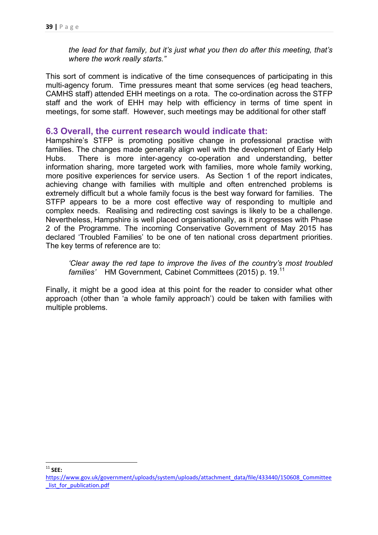*the lead for that family, but it's just what you then do after this meeting, that's where the work really starts."* 

This sort of comment is indicative of the time consequences of participating in this multi-agency forum. Time pressures meant that some services (eg head teachers, CAMHS staff) attended EHH meetings on a rota. The co-ordination across the STFP staff and the work of EHH may help with efficiency in terms of time spent in meetings, for some staff. However, such meetings may be additional for other staff

### **6.3 Overall, the current research would indicate that:**

Hampshire's STFP is promoting positive change in professional practise with families. The changes made generally align well with the development of Early Help Hubs. There is more inter-agency co-operation and understanding, better information sharing, more targeted work with families, more whole family working, more positive experiences for service users. As Section 1 of the report indicates, achieving change with families with multiple and often entrenched problems is extremely difficult but a whole family focus is the best way forward for families. The STFP appears to be a more cost effective way of responding to multiple and complex needs. Realising and redirecting cost savings is likely to be a challenge. Nevertheless, Hampshire is well placed organisationally, as it progresses with Phase 2 of the Programme. The incoming Conservative Government of May 2015 has declared 'Troubled Families' to be one of ten national cross department priorities. The key terms of reference are to:

*'Clear away the red tape to improve the lives of the country's most troubled families'* HM Government*,* Cabinet Committees (2015) p. 19.<sup>11</sup>

Finally, it might be a good idea at this point for the reader to consider what other approach (other than 'a whole family approach') could be taken with families with multiple problems.

<sup>11</sup> **SEE:** 

https://www.gov.uk/government/uploads/system/uploads/attachment\_data/file/433440/150608\_Committee list for publication.pdf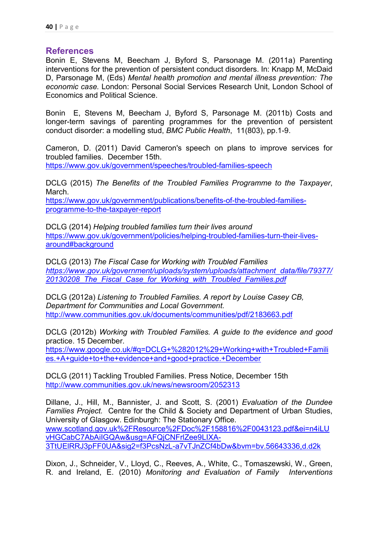### **References**

Bonin E, Stevens M, Beecham J, Byford S, Parsonage M. (2011a) Parenting interventions for the prevention of persistent conduct disorders. In: Knapp M, McDaid D, Parsonage M, (Eds) *Mental health promotion and mental illness prevention: The economic case.* London: Personal Social Services Research Unit, London School of Economics and Political Science.

Bonin E, Stevens M, Beecham J, Byford S, Parsonage M. (2011b) Costs and longer-term savings of parenting programmes for the prevention of persistent conduct disorder: a modelling stud, *BMC Public Health*, 11(803), pp.1-9.

Cameron, D. (2011) David Cameron's speech on plans to improve services for troubled families. December 15th.

https://www.gov.uk/government/speeches/troubled-families-speech

DCLG (2015) *The Benefits of the Troubled Families Programme to the Taxpayer*, March.

https://www.gov.uk/government/publications/benefits-of-the-troubled-familiesprogramme-to-the-taxpayer-report

DCLG (2014) *Helping troubled families turn their lives around* https://www.gov.uk/government/policies/helping-troubled-families-turn-their-livesaround#background

DCLG (2013) *The Fiscal Case for Working with Troubled Families https://www.gov.uk/government/uploads/system/uploads/attachment\_data/file/79377/ 20130208\_The\_Fiscal\_Case\_for\_Working\_with\_Troubled\_Families.pdf*

DCLG (2012a) *Listening to Troubled Families. A report by Louise Casey CB, Department for Communities and Local Government.*  http://www.communities.gov.uk/documents/communities/pdf/2183663.pdf

DCLG (2012b) *Working with Troubled Families. A guide to the evidence and good* practice. 15 December.

https://www.google.co.uk/#q=DCLG+%282012%29+Working+with+Troubled+Famili es.+A+guide+to+the+evidence+and+good+practice.+December

DCLG (2011) Tackling Troubled Families. Press Notice, December 15th http://www.communities.gov.uk/news/newsroom/2052313

Dillane, J., Hill, M., Bannister, J. and Scott, S. (2001) *Evaluation of the Dundee Families Project.* Centre for the Child & Society and Department of Urban Studies, University of Glasgow. Edinburgh: The Stationary Office. www.scotland.gov.uk%2FResource%2FDoc%2F158816%2F0043123.pdf&ei=n4iLU vHGCabC7AbAiIGQAw&usg=AFQjCNFrlZee9LIXA-3TtUElRRJ3pFF0UA&sig2=f3PcsNzL-a7vTJnZCf4bDw&bvm=bv.56643336,d.d2k

Dixon, J., Schneider, V., Lloyd, C., Reeves, A., White, C., Tomaszewski, W., Green, R. and Ireland, E. (2010) *Monitoring and Evaluation of Family Interventions*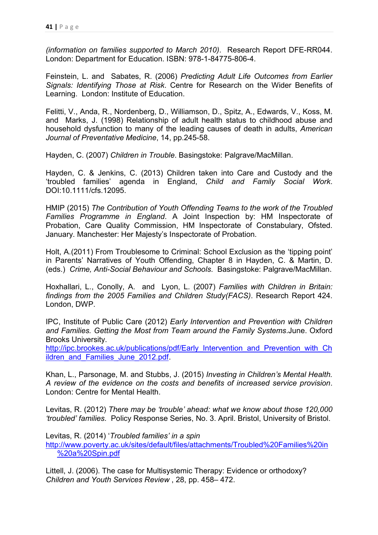*(information on families supported to March 2010)*. Research Report DFE-RR044. London: Department for Education. ISBN: 978-1-84775-806-4.

Feinstein, L. and Sabates, R. (2006) *Predicting Adult Life Outcomes from Earlier Signals: Identifying Those at Risk*. Centre for Research on the Wider Benefits of Learning. London: Institute of Education.

Felitti, V., Anda, R., Nordenberg, D., Williamson, D., Spitz, A., Edwards, V., Koss, M. and Marks, J. (1998) Relationship of adult health status to childhood abuse and household dysfunction to many of the leading causes of death in adults, *American Journal of Preventative Medicine*, 14, pp.245-58.

Hayden, C. (2007) *Children in Trouble*. Basingstoke: Palgrave/MacMillan.

Hayden, C. & Jenkins, C. (2013) Children taken into Care and Custody and the 'troubled families' agenda in England, *Child and Family Social Work*. DOI:10.1111/cfs.12095.

HMIP (2015) *The Contribution of Youth Offending Teams to the work of the Troubled Families Programme in England*. A Joint Inspection by: HM Inspectorate of Probation, Care Quality Commission, HM Inspectorate of Constabulary, Ofsted. January. Manchester: Her Majesty's Inspectorate of Probation.

Holt, A.(2011) From Troublesome to Criminal: School Exclusion as the 'tipping point' in Parents' Narratives of Youth Offending, Chapter 8 in Hayden, C. & Martin, D. (eds.) *Crime, Anti-Social Behaviour and Schools*. Basingstoke: Palgrave/MacMillan.

Hoxhallari, L., Conolly, A. and Lyon, L. (2007) *Families with Children in Britain: findings from the 2005 Families and Children Study(FACS)*. Research Report 424. London, DWP.

IPC, Institute of Public Care (2012) *Early Intervention and Prevention with Children and Families. Getting the Most from Team around the Family Systems*.June. Oxford Brooks University.

http://ipc.brookes.ac.uk/publications/pdf/Early\_Intervention\_and\_Prevention\_with\_Ch\_ ildren\_and\_Families\_June\_2012.pdf

Khan, L., Parsonage, M. and Stubbs, J. (2015) *Investing in Children's Mental Health. A review of the evidence on the costs and benefits of increased service provision*. London: Centre for Mental Health.

Levitas, R. (2012) *There may be 'trouble' ahead: what we know about those 120,000 'troubled' families.* Policy Response Series, No. 3. April. Bristol, University of Bristol.

Levitas, R. (2014) '*Troubled families' in a spin*  http://www.poverty.ac.uk/sites/default/files/attachments/Troubled%20Families%20in %20a%20Spin.pdf

Littell, J. (2006). The case for Multisystemic Therapy: Evidence or orthodoxy? *Children and Youth Services Review* , 28, pp. 458– 472.